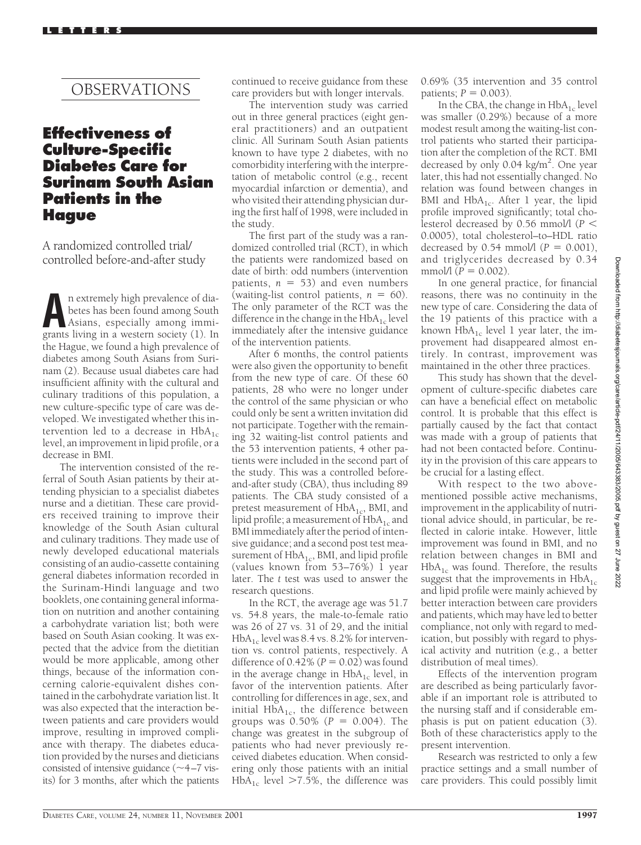## OBSERVATIONS

### **Effectiveness of Culture-Specific Diabetes Care for Surinam South Asian Patients in the Hague**

A randomized controlled trial/ controlled before-and-after study

**A**n extremely high prevalence of dia-<br>betes has been found among South Asians, especially among immi-<br>grants living in a western society (1). In betes has been found among South Asians, especially among immigrants living in a western society (1). In the Hague, we found a high prevalence of diabetes among South Asians from Surinam (2). Because usual diabetes care had insufficient affinity with the cultural and culinary traditions of this population, a new culture-specific type of care was developed. We investigated whether this intervention led to a decrease in  $HbA_{1c}$ level, an improvement in lipid profile, or a decrease in BMI.

The intervention consisted of the referral of South Asian patients by their attending physician to a specialist diabetes nurse and a dietitian. These care providers received training to improve their knowledge of the South Asian cultural and culinary traditions. They made use of newly developed educational materials consisting of an audio-cassette containing general diabetes information recorded in the Surinam-Hindi language and two booklets, one containing general information on nutrition and another containing a carbohydrate variation list; both were based on South Asian cooking. It was expected that the advice from the dietitian would be more applicable, among other things, because of the information concerning calorie-equivalent dishes contained in the carbohydrate variation list. It was also expected that the interaction between patients and care providers would improve, resulting in improved compliance with therapy. The diabetes education provided by the nurses and dieticians consisted of intensive guidance  $(\sim4-7 \text{ vis-}$ its) for 3 months, after which the patients

continued to receive guidance from these care providers but with longer intervals.

The intervention study was carried out in three general practices (eight general practitioners) and an outpatient clinic. All Surinam South Asian patients known to have type 2 diabetes, with no comorbidity interfering with the interpretation of metabolic control (e.g., recent myocardial infarction or dementia), and who visited their attending physician during the first half of 1998, were included in the study.

The first part of the study was a randomized controlled trial (RCT), in which the patients were randomized based on date of birth: odd numbers (intervention patients,  $n = 53$ ) and even numbers (waiting-list control patients,  $n = 60$ ). The only parameter of the RCT was the difference in the change in the  $HbA_{1c}$  level immediately after the intensive guidance of the intervention patients.

After 6 months, the control patients were also given the opportunity to benefit from the new type of care. Of these 60 patients, 28 who were no longer under the control of the same physician or who could only be sent a written invitation did not participate. Together with the remaining 32 waiting-list control patients and the 53 intervention patients, 4 other patients were included in the second part of the study. This was a controlled beforeand-after study (CBA), thus including 89 patients. The CBA study consisted of a pretest measurement of  $HbA_{1c}$ , BMI, and lipid profile; a measurement of  $HbA_{1c}$  and BMI immediately after the period of intensive guidance; and a second post test measurement of  $HbA_{1c}$ , BMI, and lipid profile (values known from  $53-76\%$ ) I year later. The *t* test was used to answer the research questions.

In the RCT, the average age was 51.7 vs. 54.8 years, the male-to-female ratio was 26 of 27 vs. 31 of 29, and the initial  $HbA_{1c}$  level was 8.4 vs. 8.2% for intervention vs. control patients, respectively. A difference of  $0.42\%$  ( $P = 0.02$ ) was found in the average change in  $HbA_{1c}$  level, in favor of the intervention patients. After controlling for differences in age, sex, and initial  $HbA_{1c}$ , the difference between groups was  $0.50\%$  ( $P = 0.004$ ). The change was greatest in the subgroup of patients who had never previously received diabetes education. When considering only those patients with an initial  $HbA_{1c}$  level  $>7.5\%$ , the difference was 0.69% (35 intervention and 35 control patients;  $P = 0.003$ ).

In the CBA, the change in  $HbA_{1c}$  level was smaller (0.29%) because of a more modest result among the waiting-list control patients who started their participation after the completion of the RCT. BMI decreased by only 0.04 kg/m<sup>2</sup>. One year later, this had not essentially changed. No relation was found between changes in BMI and  $HbA_{1c}$ . After 1 year, the lipid profile improved significantly; total cholesterol decreased by 0.56 mmol/l (*P* 0.0005), total cholesterol–to–HDL ratio decreased by  $0.54$  mmol/l ( $P = 0.001$ ), and triglycerides decreased by 0.34  $mmol/l (P = 0.002)$ .

In one general practice, for financial reasons, there was no continuity in the new type of care. Considering the data of the 19 patients of this practice with a known  $HbA_{1c}$  level 1 year later, the improvement had disappeared almost entirely. In contrast, improvement was maintained in the other three practices.

This study has shown that the development of culture-specific diabetes care can have a beneficial effect on metabolic control. It is probable that this effect is partially caused by the fact that contact was made with a group of patients that had not been contacted before. Continuity in the provision of this care appears to be crucial for a lasting effect.

With respect to the two abovementioned possible active mechanisms, improvement in the applicability of nutritional advice should, in particular, be reflected in calorie intake. However, little improvement was found in BMI, and no relation between changes in BMI and  $HbA_{1c}$  was found. Therefore, the results suggest that the improvements in  $HbA_{1c}$ and lipid profile were mainly achieved by better interaction between care providers and patients, which may have led to better compliance, not only with regard to medication, but possibly with regard to physical activity and nutrition (e.g., a better distribution of meal times).

Effects of the intervention program are described as being particularly favorable if an important role is attributed to the nursing staff and if considerable emphasis is put on patient education (3). Both of these characteristics apply to the present intervention.

Research was restricted to only a few practice settings and a small number of care providers. This could possibly limit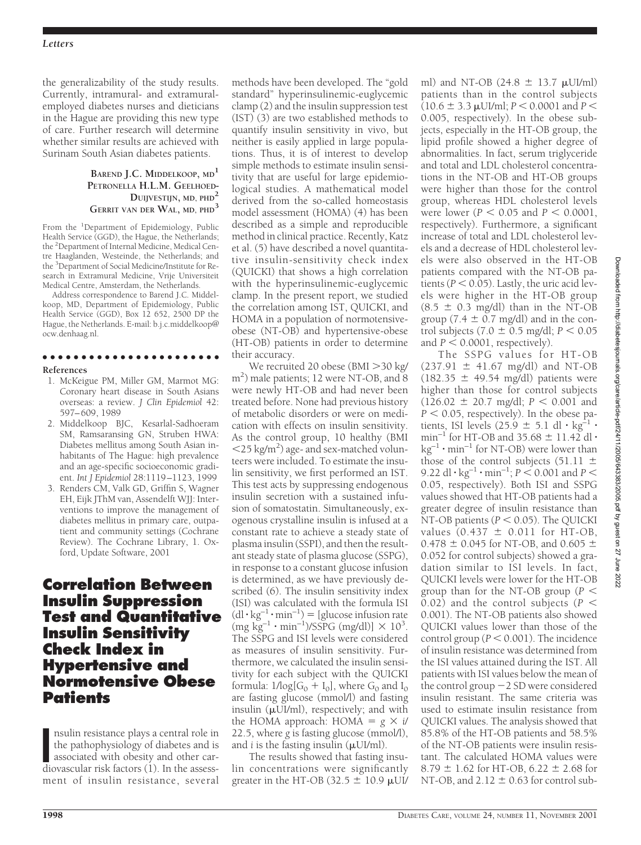the generalizability of the study results. Currently, intramural- and extramuralemployed diabetes nurses and dieticians in the Hague are providing this new type of care. Further research will determine whether similar results are achieved with Surinam South Asian diabetes patients.

#### **BAREND J.C. MIDDELKOOP, MD<sup>1</sup> PETRONELLA H.L.M. GEELHOED-DUIJVESTIJN, MD, PHD<sup>2</sup> GERRIT VAN DER WAL, MD, PHD<sup>3</sup>**

From the <sup>1</sup>Department of Epidemiology, Public Health Service (GGD), the Hague, the Netherlands; the <sup>2</sup>Department of Internal Medicine, Medical Centre Haaglanden, Westeinde, the Netherlands; and the <sup>3</sup>Department of Social Medicine/Institute for Research in Extramural Medicine, Vrije Universiteit Medical Centre, Amsterdam, the Netherlands.

Address correspondence to Barend J.C. Middelkoop, MD, Department of Epidemiology, Public Health Service (GGD), Box 12 652, 2500 DP the Hague, the Netherlands. E-mail: b.j.c.middelkoop@ ocw.denhaag.nl.

#### ●●●●●●●●●●●●●●●●●●●●●●● **References**

- 1. McKeigue PM, Miller GM, Marmot MG: Coronary heart disease in South Asians overseas: a review. *J Clin Epidemiol* 42: 597–609, 1989
- 2. Middelkoop BJC, Kesarlal-Sadhoeram SM, Ramsaransing GN, Struben HWA: Diabetes mellitus among South Asian inhabitants of The Hague: high prevalence and an age-specific socioeconomic gradient. *Int J Epidemiol* 28:1119–1123, 1999
- 3. Renders CM, Valk GD, Griffin S, Wagner EH, Eijk JThM van, Assendelft WJJ: Interventions to improve the management of diabetes mellitus in primary care, outpatient and community settings (Cochrane Review). The Cochrane Library, 1. Oxford, Update Software, 2001

### **Correlation Between Insulin Suppression Test and Quantitative Insulin Sensitivity Check Index in Hypertensive and Normotensive Obese Patients**

Insulin resistance plays a central role in the pathophysiology of diabetes and is associated with obesity and other cardiovascular risk factors (1). In the assessnsulin resistance plays a central role in the pathophysiology of diabetes and is associated with obesity and other carment of insulin resistance, several methods have been developed. The "gold standard" hyperinsulinemic-euglycemic clamp (2) and the insulin suppression test (IST) (3) are two established methods to quantify insulin sensitivity in vivo, but neither is easily applied in large populations. Thus, it is of interest to develop simple methods to estimate insulin sensitivity that are useful for large epidemiological studies. A mathematical model derived from the so-called homeostasis model assessment (HOMA) (4) has been described as a simple and reproducible method in clinical practice. Recently, Katz et al. (5) have described a novel quantitative insulin-sensitivity check index (QUICKI) that shows a high correlation with the hyperinsulinemic-euglycemic clamp. In the present report, we studied the correlation among IST, QUICKI, and HOMA in a population of normotensiveobese (NT-OB) and hypertensive-obese (HT-OB) patients in order to determine their accuracy.

We recruited 20 obese (BMI > 30 kg/ m<sup>2</sup>) male patients; 12 were NT-OB, and 8 were newly HT-OB and had never been treated before. None had previous history of metabolic disorders or were on medication with effects on insulin sensitivity. As the control group, 10 healthy (BMI <25 kg/m<sup>2</sup>) age- and sex-matched volunteers were included. To estimate the insulin sensitivity, we first performed an IST. This test acts by suppressing endogenous insulin secretion with a sustained infusion of somatostatin. Simultaneously, exogenous crystalline insulin is infused at a constant rate to achieve a steady state of plasma insulin (SSPI), and then the resultant steady state of plasma glucose (SSPG), in response to a constant glucose infusion is determined, as we have previously described (6). The insulin sensitivity index (ISI) was calculated with the formula ISI  $(\text{dl} \cdot \text{kg}^{-1} \cdot \text{min}^{-1}) = [\text{glucose inflation rate}]$  $\left(\text{mg kg}^{-1} \cdot \text{min}^{-1}\right)$ /SSPG  $\left(\text{mg/dl}\right) \times 10^3$ . The SSPG and ISI levels were considered as measures of insulin sensitivity. Furthermore, we calculated the insulin sensitivity for each subject with the QUICKI formula:  $1/\log[G_0 + I_0]$ , where  $G_0$  and  $I_0$ are fasting glucose (mmol/l) and fasting insulin  $(\mu U I/ml)$ , respectively; and with the HOMA approach: HOMA =  $g \times i/2$ 22.5, where *g* is fasting glucose (mmol/l), and  $i$  is the fasting insulin  $(\mu U I/ml)$ .

The results showed that fasting insulin concentrations were significantly greater in the HT-OB (32.5  $\pm$  10.9  $\mu$ UI/

ml) and NT-OB (24.8  $\pm$  13.7  $\mu$ UI/ml) patients than in the control subjects  $(10.6 \pm 3.3 \,\text{\mu}$ UI/ml; *P* < 0.0001 and *P* < 0.005, respectively). In the obese subjects, especially in the HT-OB group, the lipid profile showed a higher degree of abnormalities. In fact, serum triglyceride and total and LDL cholesterol concentrations in the NT-OB and HT-OB groups were higher than those for the control group, whereas HDL cholesterol levels were lower ( $P < 0.05$  and  $P < 0.0001$ , respectively). Furthermore, a significant increase of total and LDL cholesterol levels and a decrease of HDL cholesterol levels were also observed in the HT-OB patients compared with the NT-OB patients ( $P < 0.05$ ). Lastly, the uric acid levels were higher in the HT-OB group  $(8.5 \pm 0.3 \text{ mg/dl})$  than in the NT-OB group (7.4  $\pm$  0.7 mg/dl) and in the control subjects (7.0  $\pm$  0.5 mg/dl; *P* < 0.05 and  $P < 0.0001$ , respectively).

The SSPG values for HT-OB  $(237.91 \pm 41.67 \text{ mg/dl})$  and NT-OB (182.35  $\pm$  49.54 mg/dl) patients were higher than those for control subjects  $(126.02 \pm 20.7 \text{ mg/dl}; P \le 0.001 \text{ and}$  $P < 0.05$ , respectively). In the obese patients, ISI levels (25.9  $\pm$  5.1 dl  $\cdot$  kg<sup>-1</sup>  $\cdot$  $min^{-1}$  for HT-OB and 35.68  $\pm$  11.42 dl  $\cdot$  $\text{kg}^{-1}$   $\cdot$  min $^{-1}$  for NT-OB) were lower than those of the control subjects  $(51.11 \pm$ 9.22 dl  $\cdot$  kg<sup>-1</sup>  $\cdot$  min<sup>-1</sup>; *P* < 0.001 and *P* < 0.05, respectively). Both ISI and SSPG values showed that HT-OB patients had a greater degree of insulin resistance than NT-OB patients  $(P < 0.05)$ . The QUICKI values  $(0.437 \pm 0.011$  for HT-OB, 0.478  $\pm$  0.045 for NT-OB, and 0.605  $\pm$ 0.052 for control subjects) showed a gradation similar to ISI levels. In fact, QUICKI levels were lower for the HT-OB group than for the NT-OB group (*P* 0.02) and the control subjects (*P* 0.001). The NT-OB patients also showed QUICKI values lower than those of the control group ( $P < 0.001$ ). The incidence of insulin resistance was determined from the ISI values attained during the IST. All patients with ISI values below the mean of the control group  $-2$  SD were considered insulin resistant. The same criteria was used to estimate insulin resistance from QUICKI values. The analysis showed that 85.8% of the HT-OB patients and 58.5% of the NT-OB patients were insulin resistant. The calculated HOMA values were  $8.79 \pm 1.62$  for HT-OB,  $6.22 \pm 2.68$  for NT-OB, and  $2.12 \pm 0.63$  for control sub-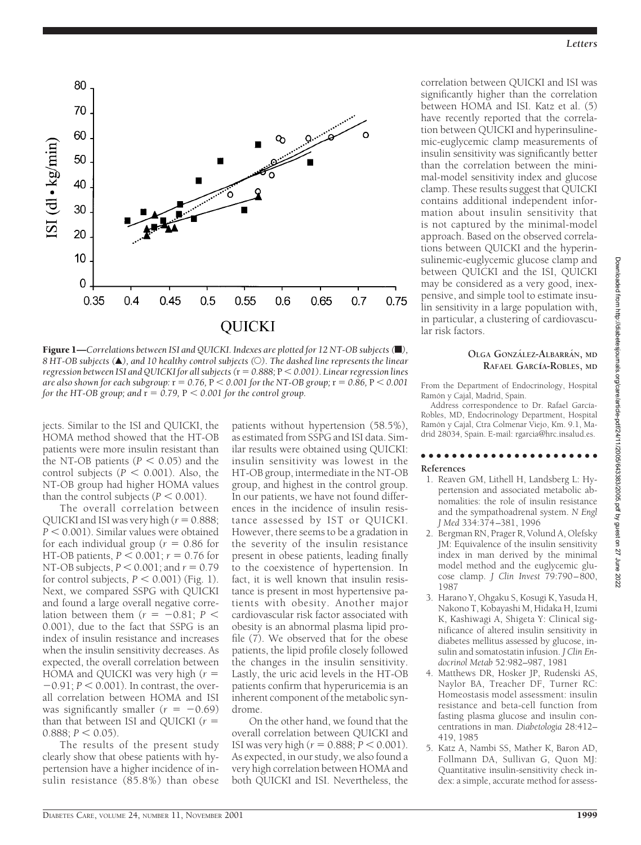

Figure 1—*Correlations between ISI and QUICKI. Indexes are plotted for 12 NT-OB subjects (*f*), 8 HT-OB subjects (*Œ*), and 10 healthy control subjects (*E*). The dashed line represents the linear regression between ISI and QUICKI for all subjects (*r - *0.888;* P *0.001). Linear regression lines* are also shown for each subgroup:  $r = 0.76$ ,  $P < 0.001$  for the NT-OB group;  $r = 0.86$ ,  $P < 0.001$ for the HT-OB group; and  $r = 0.79$ ,  $P < 0.001$  for the control group.

jects. Similar to the ISI and QUICKI, the HOMA method showed that the HT-OB patients were more insulin resistant than the NT-OB patients  $(P < 0.05)$  and the control subjects ( $P < 0.001$ ). Also, the NT-OB group had higher HOMA values than the control subjects  $(P < 0.001)$ .

The overall correlation between QUICKI and ISI was very high  $(r = 0.888;$  $P < 0.001$ ). Similar values were obtained for each individual group ( $r = 0.86$  for  $HT$ -OB patients,  $P < 0.001$ ;  $r = 0.76$  for NT-OB subjects,  $P < 0.001$ ; and  $r = 0.79$ for control subjects,  $P < 0.001$ ) (Fig. 1). Next, we compared SSPG with QUICKI and found a large overall negative correlation between them  $(r = -0.81; P <$ 0.001), due to the fact that SSPG is an index of insulin resistance and increases when the insulin sensitivity decreases. As expected, the overall correlation between HOMA and QUICKI was very high  $(r =$  $-0.91; P < 0.001$ ). In contrast, the overall correlation between HOMA and ISI was significantly smaller  $(r = -0.69)$ than that between ISI and QUICKI  $(r =$  $0.888; P < 0.05$ ).

The results of the present study clearly show that obese patients with hypertension have a higher incidence of insulin resistance (85.8%) than obese

patients without hypertension (58.5%), as estimated from SSPG and ISI data. Similar results were obtained using QUICKI: insulin sensitivity was lowest in the HT-OB group, intermediate in the NT-OB group, and highest in the control group. In our patients, we have not found differences in the incidence of insulin resistance assessed by IST or QUICKI. However, there seems to be a gradation in the severity of the insulin resistance present in obese patients, leading finally to the coexistence of hypertension. In fact, it is well known that insulin resistance is present in most hypertensive patients with obesity. Another major cardiovascular risk factor associated with obesity is an abnormal plasma lipid profile (7). We observed that for the obese patients, the lipid profile closely followed the changes in the insulin sensitivity. Lastly, the uric acid levels in the HT-OB patients confirm that hyperuricemia is an inherent component of the metabolic syndrome.

On the other hand, we found that the overall correlation between QUICKI and ISI was very high ( $r = 0.888; P < 0.001$ ). As expected, in our study, we also found a very high correlation between HOMA and both QUICKI and ISI. Nevertheless, the correlation between QUICKI and ISI was significantly higher than the correlation between HOMA and ISI. Katz et al. (5) have recently reported that the correlation between QUICKI and hyperinsulinemic-euglycemic clamp measurements of insulin sensitivity was significantly better than the correlation between the minimal-model sensitivity index and glucose clamp. These results suggest that QUICKI contains additional independent information about insulin sensitivity that is not captured by the minimal-model approach. Based on the observed correlations between QUICKI and the hyperinsulinemic-euglycemic glucose clamp and between QUICKI and the ISI, QUICKI may be considered as a very good, inexpensive, and simple tool to estimate insulin sensitivity in a large population with, in particular, a clustering of cardiovascular risk factors.

#### **OLGA GONZA´LEZ-ALBARRA´N, MD RAFAEL GARCı´A-ROBLES, MD**

From the Department of Endocrinology, Hospital Ramón y Cajal, Madrid, Spain.

Address correspondence to Dr. Rafael García-Robles, MD, Endocrinology Department, Hospital Ramón y Cajal, Ctra Colmenar Viejo, Km. 9.1, Madrid 28034, Spain. E-mail: rgarcia@hrc.insalud.es.

#### ●●●●●●●●●●●●●●●●●●●●●●● **References**

- 1. Reaven GM, Lithell H, Landsberg L: Hypertension and associated metabolic abnomalities: the role of insulin resistance and the sympathoadrenal system. *N Engl J Med* 334:374–381, 1996
- 2. Bergman RN, Prager R, Volund A, Olefsky JM: Equivalence of the insulin sensitivity index in man derived by the minimal model method and the euglycemic glucose clamp. *J Clin Invest* 79:790–800, 1987
- 3. Harano Y, Ohgaku S, Kosugi K, Yasuda H, Nakono T, Kobayashi M, Hidaka H, Izumi K, Kashiwagi A, Shigeta Y: Clinical significance of altered insulin sensitivity in diabetes mellitus assessed by glucose, insulin and somatostatin infusion. *J Clin Endocrinol Metab* 52:982–987, 1981
- 4. Matthews DR, Hosker JP, Rudenski AS, Naylor BA, Treacher DF, Turner RC: Homeostasis model assessment: insulin resistance and beta-cell function from fasting plasma glucose and insulin concentrations in man. *Diabetologia* 28:412– 419, 1985
- 5. Katz A, Nambi SS, Mather K, Baron AD, Follmann DA, Sullivan G, Quon MJ: Quantitative insulin-sensitivity check index: a simple, accurate method for assess-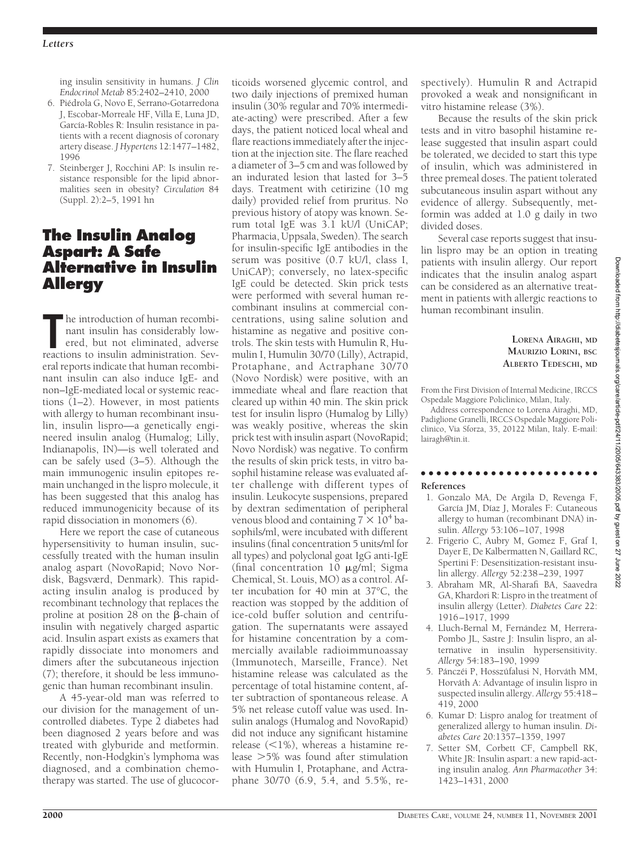ing insulin sensitivity in humans. *J Clin Endocrinol Metab* 85:2402–2410, 2000

- 6. Piédrola G, Novo E, Serrano-Gotarredona J, Escobar-Morreale HF, Villa E, Luna JD, García-Robles R: Insulin resistance in patients with a recent diagnosis of coronary artery disease. *J Hypertens* 12:1477–1482, 1996
- 7. Steinberger J, Rocchini AP: Is insulin resistance responsible for the lipid abnormalities seen in obesity? *Circulation* 84 (Suppl. 2):2–5, 1991 hn

### **The Insulin Analog Aspart: A Safe Alternative in Insulin Allergy**

**THE INTERFERT ARE INTERFERTATION IN A THE INTERFERTATION INTERFERTATION IS PRECTION TO INSURFACE THE PRECTION IS PRECTION. SEV-<br>
<b>THE INTERFERTATION** IS A THE INTERFERTATION. SEVhe introduction of human recombinant insulin has considerably lowered, but not eliminated, adverse eral reports indicate that human recombinant insulin can also induce IgE- and non–IgE-mediated local or systemic reactions (1–2). However, in most patients with allergy to human recombinant insulin, insulin lispro—a genetically engineered insulin analog (Humalog; Lilly, Indianapolis, IN)—is well tolerated and can be safely used (3–5). Although the main immunogenic insulin epitopes remain unchanged in the lispro molecule, it has been suggested that this analog has reduced immunogenicity because of its rapid dissociation in monomers (6).

Here we report the case of cutaneous hypersensitivity to human insulin, successfully treated with the human insulin analog aspart (NovoRapid; Novo Nordisk, Bagsværd, Denmark). This rapidacting insulin analog is produced by recombinant technology that replaces the proline at position  $28$  on the  $\beta$ -chain of insulin with negatively charged aspartic acid. Insulin aspart exists as examers that rapidly dissociate into monomers and dimers after the subcutaneous injection (7); therefore, it should be less immunogenic than human recombinant insulin.

A 45-year-old man was referred to our division for the management of uncontrolled diabetes. Type 2 diabetes had been diagnosed 2 years before and was treated with glyburide and metformin. Recently, non-Hodgkin's lymphoma was diagnosed, and a combination chemotherapy was started. The use of glucocorticoids worsened glycemic control, and two daily injections of premixed human insulin (30% regular and 70% intermediate-acting) were prescribed. After a few days, the patient noticed local wheal and flare reactions immediately after the injection at the injection site. The flare reached a diameter of 3–5 cm and was followed by an indurated lesion that lasted for 3–5 days. Treatment with cetirizine (10 mg daily) provided relief from pruritus. No previous history of atopy was known. Serum total IgE was 3.1 kU/l (UniCAP; Pharmacia, Uppsala, Sweden). The search for insulin-specific IgE antibodies in the serum was positive (0.7 kU/l, class I, UniCAP); conversely, no latex-specific IgE could be detected. Skin prick tests were performed with several human recombinant insulins at commercial concentrations, using saline solution and histamine as negative and positive controls. The skin tests with Humulin R, Humulin I, Humulin 30/70 (Lilly), Actrapid, Protaphane, and Actraphane 30/70 (Novo Nordisk) were positive, with an immediate wheal and flare reaction that cleared up within 40 min. The skin prick test for insulin lispro (Humalog by Lilly) was weakly positive, whereas the skin prick test with insulin aspart (NovoRapid; Novo Nordisk) was negative. To confirm the results of skin prick tests, in vitro basophil histamine release was evaluated after challenge with different types of insulin. Leukocyte suspensions, prepared by dextran sedimentation of peripheral venous blood and containing  $7 \times 10^4$  basophils/ml, were incubated with different insulins (final concentration 5 units/ml for all types) and polyclonal goat IgG anti-IgE (final concentration 10  $\mu$ g/ml; Sigma Chemical, St. Louis, MO) as a control. After incubation for 40 min at 37°C, the reaction was stopped by the addition of ice-cold buffer solution and centrifugation. The supernatants were assayed for histamine concentration by a commercially available radioimmunoassay (Immunotech, Marseille, France). Net histamine release was calculated as the percentage of total histamine content, after subtraction of spontaneous release. A 5% net release cutoff value was used. Insulin analogs (Humalog and NovoRapid) did not induce any significant histamine release  $($  <math>1\%), whereas a histamine release 5% was found after stimulation with Humulin I, Protaphane, and Actraphane 30/70 (6.9, 5.4, and 5.5%, respectively). Humulin R and Actrapid provoked a weak and nonsignificant in vitro histamine release (3%).

Because the results of the skin prick tests and in vitro basophil histamine release suggested that insulin aspart could be tolerated, we decided to start this type of insulin, which was administered in three premeal doses. The patient tolerated subcutaneous insulin aspart without any evidence of allergy. Subsequently, metformin was added at 1.0 g daily in two divided doses.

Several case reports suggest that insulin lispro may be an option in treating patients with insulin allergy. Our report indicates that the insulin analog aspart can be considered as an alternative treatment in patients with allergic reactions to human recombinant insulin.

#### **LORENA AIRAGHI, MD MAURIZIO LORINI, BSC ALBERTO TEDESCHI, MD**

From the First Division of Internal Medicine, IRCCS Ospedale Maggiore Policlinico, Milan, Italy.

Address correspondence to Lorena Airaghi, MD, Padiglione Granelli, IRCCS Ospedale Maggiore Policlinico, Via Sforza, 35, 20122 Milan, Italy. E-mail: lairagh@tin.it.

#### ●●●●●●●●●●●●●●●●●●●●●●● **References**

- 1. Gonzalo MA, De Argila D, Revenga F, García JM, Díaz J, Morales F: Cutaneous allergy to human (recombinant DNA) insulin. *Allergy* 53:106–107, 1998
- 2. Frigerio C, Aubry M, Gomez F, Graf I, Dayer E, De Kalbermatten N, Gaillard RC, Spertini F: Desensitization-resistant insulin allergy. *Allergy* 52:238–239, 1997
- 3. Abraham MR, Al-Sharafi BA, Saavedra GA, Khardori R: Lispro in the treatment of insulin allergy (Letter). *Diabetes Care* 22: 1916–1917, 1999
- 4. Lluch-Bernal M, Fernández M, Herrera-Pombo JL, Sastre J: Insulin lispro, an alternative in insulin hypersensitivity. *Allergy* 54:183–190, 1999
- 5. Pánczéi P, Hosszúfalusi N, Horváth MM, Horváth A: Advantage of insulin lispro in suspected insulin allergy. *Allergy* 55:418– 419, 2000
- 6. Kumar D: Lispro analog for treatment of generalized allergy to human insulin. *Diabetes Care* 20:1357–1359, 1997
- 7. Setter SM, Corbett CF, Campbell RK, White JR: Insulin aspart: a new rapid-acting insulin analog. *Ann Pharmacother* 34: 1423–1431, 2000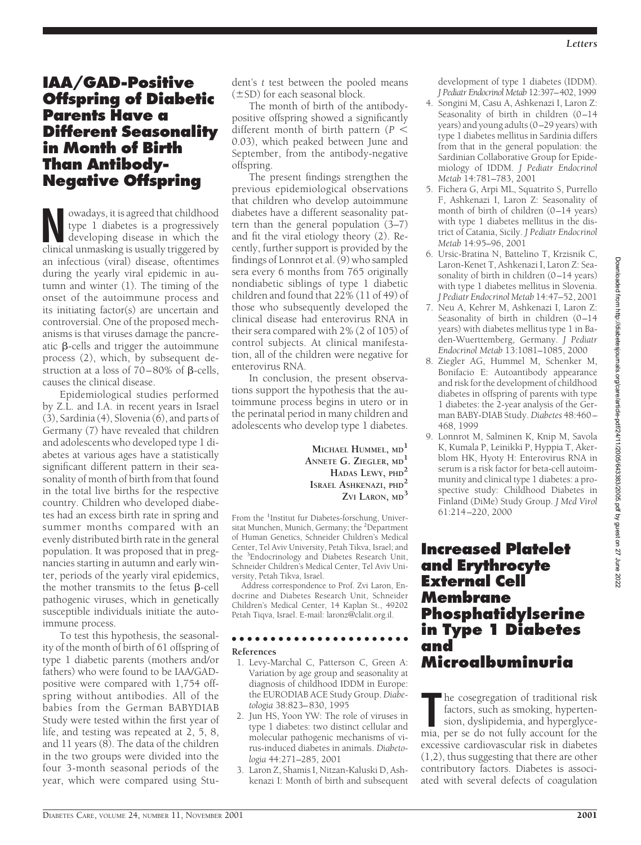### **IAA/GAD-Positive Offspring of Diabetic Parents Have a Different Seasonality in Month of Birth Than Antibody-Negative Offspring**

wadays, it is agreed that childhood<br>type 1 diabetes is a progressively<br>developing disease in which the<br>clinical unmasking is usually triggered by type 1 diabetes is a progressively clinical unmasking is usually triggered by an infectious (viral) disease, oftentimes during the yearly viral epidemic in autumn and winter (1). The timing of the onset of the autoimmune process and its initiating factor(s) are uncertain and controversial. One of the proposed mechanisms is that viruses damage the pancreatic  $\beta$ -cells and trigger the autoimmune process (2), which, by subsequent destruction at a loss of  $70-80\%$  of  $\beta$ -cells, causes the clinical disease.

Epidemiological studies performed by Z.L. and I.A. in recent years in Israel (3), Sardinia (4), Slovenia (6), and parts of Germany (7) have revealed that children and adolescents who developed type 1 diabetes at various ages have a statistically significant different pattern in their seasonality of month of birth from that found in the total live births for the respective country. Children who developed diabetes had an excess birth rate in spring and summer months compared with an evenly distributed birth rate in the general population. It was proposed that in pregnancies starting in autumn and early winter, periods of the yearly viral epidemics, the mother transmits to the fetus  $\beta$ -cell pathogenic viruses, which in genetically susceptible individuals initiate the autoimmune process.

To test this hypothesis, the seasonality of the month of birth of 61 offspring of type 1 diabetic parents (mothers and/or fathers) who were found to be IAA/GADpositive were compared with 1,754 offspring without antibodies. All of the babies from the German BABYDIAB Study were tested within the first year of life, and testing was repeated at 2, 5, 8, and 11 years (8). The data of the children in the two groups were divided into the four 3-month seasonal periods of the year, which were compared using Student's *t* test between the pooled means  $(\pm$ SD) for each seasonal block.

The month of birth of the antibodypositive offspring showed a significantly different month of birth pattern (*P* 0.03), which peaked between June and September, from the antibody-negative offspring.

The present findings strengthen the previous epidemiological observations that children who develop autoimmune diabetes have a different seasonality pattern than the general population (3–7) and fit the viral etiology theory (2). Recently, further support is provided by the findings of Lonnrot et al. (9) who sampled sera every 6 months from 765 originally nondiabetic siblings of type 1 diabetic children and found that 22% (11 of 49) of those who subsequently developed the clinical disease had enterovirus RNA in their sera compared with 2% (2 of 105) of control subjects. At clinical manifestation, all of the children were negative for enterovirus RNA.

In conclusion, the present observations support the hypothesis that the autoimmune process begins in utero or in the perinatal period in many children and adolescents who develop type 1 diabetes.

> **MICHAEL HUMMEL, MD<sup>1</sup> ANNETE G. ZIEGLER, MD<sup>1</sup> HADAS LEWY, PHD<sup>2</sup> ISRAEL ASHKENAZI, PHD<sup>2</sup> ZVI LARON, MD<sup>3</sup>**

From the <sup>1</sup>Institut fur Diabetes-forschung, Universitat Munchen, Munich, Germany; the <sup>2</sup>Department of Human Genetics, Schneider Children's Medical Center, Tel Aviv University, Petah Tikva, Israel; and the <sup>3</sup>Endocrinology and Diabetes Research Unit, Schneider Children's Medical Center, Tel Aviv University, Petah Tikva, Israel.

Address correspondence to Prof. Zvi Laron, Endocrine and Diabetes Research Unit, Schneider Children's Medical Center, 14 Kaplan St., 49202 Petah Tiqva, Israel. E-mail: laronz@clalit.org.il.

#### ●●●●●●●●●●●●●●●●●●●●●●● **References**

- 1. Levy-Marchal C, Patterson C, Green A: Variation by age group and seasonality at diagnosis of childhood IDDM in Europe: the EURODIAB ACE Study Group. *Diabetologia* 38:823–830, 1995
- 2. Jun HS, Yoon YW: The role of viruses in type 1 diabetes: two distinct cellular and molecular pathogenic mechanisms of virus-induced diabetes in animals. *Diabetologia* 44:271–285, 2001
- 3. Laron Z, Shamis I, Nitzan-Kaluski D, Ashkenazi I: Month of birth and subsequent

development of type 1 diabetes (IDDM). *J Pediatr Endocrinol Metab* 12:397–402, 1999

- 4. Songini M, Casu A, Ashkenazi I, Laron Z: Seasonality of birth in children (0–14 years) and young adults (0–29 years) with type 1 diabetes mellitus in Sardinia differs from that in the general population: the Sardinian Collaborative Group for Epidemiology of IDDM. *J Pediatr Endocrinol Metab* 14:781–783, 2001
- 5. Fichera G, Arpi ML, Squatrito S, Purrello F, Ashkenazi I, Laron Z: Seasonality of month of birth of children (0–14 years) with type 1 diabetes mellitus in the district of Catania, Sicily. *J Pediatr Endocrinol Metab* 14:95–96, 2001
- 6. Ursic-Bratina N, Battelino T, Krzisnik C, Laron-Kenet T, Ashkenazi I, Laron Z: Seasonality of birth in children (0–14 years) with type 1 diabetes mellitus in Slovenia. *J Pediatr Endocrinol Metab* 14:47–52, 2001
- 7. Neu A, Kehrer M, Ashkenazi I, Laron Z: Seasonality of birth in children (0–14 years) with diabetes mellitus type 1 in Baden-Wuerttemberg, Germany. *J Pediatr Endocrinol Metab* 13:1081–1085, 2000
- 8. Ziegler AG, Hummel M, Schenker M, Bonifacio E: Autoantibody appearance and risk for the development of childhood diabetes in offspring of parents with type 1 diabetes: the 2-year analysis of the German BABY-DIAB Study. *Diabetes* 48:460– 468, 1999
- 9. Lonnrot M, Salminen K, Knip M, Savola K, Kumala P, Leinikki P, Hyppia T, Akerblom HK, Hyoty H: Enterovirus RNA in serum is a risk factor for beta-cell autoimmunity and clinical type 1 diabetes: a prospective study: Childhood Diabetes in Finland (DiMe) Study Group. *J Med Virol* 61:214–220, 2000

### **Increased Platelet and Erythrocyte External Cell Membrane Phosphatidylserine in Type 1 Diabetes and Microalbuminuria**

The cosegregation of traditional risk factors, such as smoking, hypertension, dyslipidemia, and hyperglycemia, per se do not fully account for the he cosegregation of traditional risk factors, such as smoking, hypertension, dyslipidemia, and hyperglyceexcessive cardiovascular risk in diabetes (1,2), thus suggesting that there are other contributory factors. Diabetes is associated with several defects of coagulation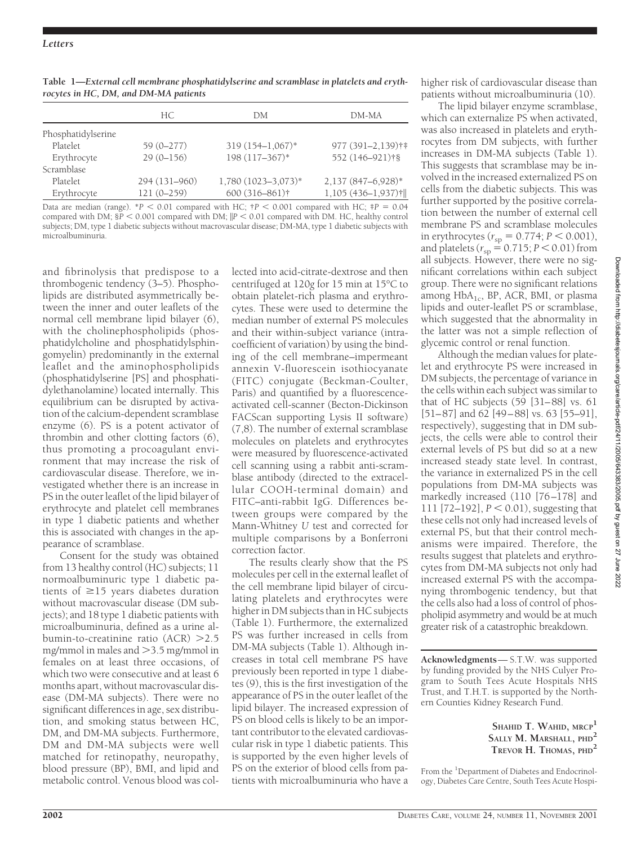|                    | HC.           | DМ                         | DM-MA                         |
|--------------------|---------------|----------------------------|-------------------------------|
| Phosphatidylserine |               |                            |                               |
| Platelet           | 59 (0-277)    | $319(154 - 1,067)^*$       | 977 (391-2,139) †*            |
| Erythrocyte        | $29(0-156)$   | $198(117-367)^*$           | 552 (146-921)+§               |
| Scramblase         |               |                            |                               |
| Platelet           | 294 (131-960) | 1,780 (1023-3,073)*        | 2,137 (847-6,928)*            |
| Erythrocyte        | $121(0-259)$  | 600 (316-861) <sup>†</sup> | $1,105$ (436-1,937) $\dagger$ |
|                    |               |                            |                               |

**Table 1—***External cell membrane phosphatidylserine and scramblase in platelets and erythrocytes in HC, DM, and DM-MA patients*

Data are median (range).  $^{*}P < 0.01$  compared with HC;  $^{*}P < 0.001$  compared with HC;  $^{*}P = 0.04$ compared with DM;  $\S P < 0.001$  compared with DM;  $\|P < 0.01$  compared with DM. HC, healthy control subjects; DM, type 1 diabetic subjects without macrovascular disease; DM-MA, type 1 diabetic subjects with microalbuminuria.

and fibrinolysis that predispose to a thrombogenic tendency (3–5). Phospholipids are distributed asymmetrically between the inner and outer leaflets of the normal cell membrane lipid bilayer (6), with the cholinephospholipids (phosphatidylcholine and phosphatidylsphingomyelin) predominantly in the external leaflet and the aminophospholipids (phosphatidylserine [PS] and phosphatidylethanolamine) located internally. This equilibrium can be disrupted by activation of the calcium-dependent scramblase enzyme (6). PS is a potent activator of thrombin and other clotting factors (6), thus promoting a procoagulant environment that may increase the risk of cardiovascular disease. Therefore, we investigated whether there is an increase in PS in the outer leaflet of the lipid bilayer of erythrocyte and platelet cell membranes in type 1 diabetic patients and whether this is associated with changes in the appearance of scramblase.

Consent for the study was obtained from 13 healthy control (HC) subjects; 11 normoalbuminuric type 1 diabetic patients of  $\geq$ 15 years diabetes duration without macrovascular disease (DM subjects); and 18 type 1 diabetic patients with microalbuminuria, defined as a urine albumin-to-creatinine ratio  $(ACR) > 2.5$ mg/mmol in males and 3.5 mg/mmol in females on at least three occasions, of which two were consecutive and at least 6 months apart, without macrovascular disease (DM-MA subjects). There were no significant differences in age, sex distribution, and smoking status between HC, DM, and DM-MA subjects. Furthermore, DM and DM-MA subjects were well matched for retinopathy, neuropathy, blood pressure (BP), BMI, and lipid and metabolic control. Venous blood was collected into acid-citrate-dextrose and then centrifuged at 120*g* for 15 min at 15°C to obtain platelet-rich plasma and erythrocytes. These were used to determine the median number of external PS molecules and their within-subject variance (intracoefficient of variation) by using the binding of the cell membrane–impermeant annexin V-fluorescein isothiocyanate (FITC) conjugate (Beckman-Coulter, Paris) and quantified by a fluorescenceactivated cell-scanner (Becton-Dickinson FACScan supporting Lysis II software) (7,8). The number of external scramblase molecules on platelets and erythrocytes were measured by fluorescence-activated cell scanning using a rabbit anti-scramblase antibody (directed to the extracellular COOH-terminal domain) and FITC–anti-rabbit IgG. Differences between groups were compared by the Mann-Whitney *U* test and corrected for multiple comparisons by a Bonferroni correction factor.

The results clearly show that the PS molecules per cell in the external leaflet of the cell membrane lipid bilayer of circulating platelets and erythrocytes were higher in DM subjects than in HC subjects (Table 1). Furthermore, the externalized PS was further increased in cells from DM-MA subjects (Table 1). Although increases in total cell membrane PS have previously been reported in type 1 diabetes (9), this is the first investigation of the appearance of PS in the outer leaflet of the lipid bilayer. The increased expression of PS on blood cells is likely to be an important contributor to the elevated cardiovascular risk in type 1 diabetic patients. This is supported by the even higher levels of PS on the exterior of blood cells from patients with microalbuminuria who have a

higher risk of cardiovascular disease than patients without microalbuminuria (10).

The lipid bilayer enzyme scramblase, which can externalize PS when activated, was also increased in platelets and erythrocytes from DM subjects, with further increases in DM-MA subjects (Table 1). This suggests that scramblase may be involved in the increased externalized PS on cells from the diabetic subjects. This was further supported by the positive correlation between the number of external cell membrane PS and scramblase molecules in erythrocytes ( $r_{sp} = 0.774$ ;  $P < 0.001$ ), and platelets ( $r_{sp} = 0.715; P < 0.01$ ) from all subjects. However, there were no significant correlations within each subject group. There were no significant relations among  $HbA_{1c}$ , BP, ACR, BMI, or plasma lipids and outer-leaflet PS or scramblase, which suggested that the abnormality in the latter was not a simple reflection of glycemic control or renal function.

Although the median values for platelet and erythrocyte PS were increased in DM subjects, the percentage of variance in the cells within each subject was similar to that of HC subjects (59 [31–88] vs. 61 [51–87] and 62 [49–88] vs. 63 [55–91], respectively), suggesting that in DM subjects, the cells were able to control their external levels of PS but did so at a new increased steady state level. In contrast, the variance in externalized PS in the cell populations from DM-MA subjects was markedly increased (110 [76–178] and 111 [72-192],  $P < 0.01$ ), suggesting that these cells not only had increased levels of external PS, but that their control mechanisms were impaired. Therefore, the results suggest that platelets and erythrocytes from DM-MA subjects not only had increased external PS with the accompanying thrombogenic tendency, but that the cells also had a loss of control of phospholipid asymmetry and would be at much greater risk of a catastrophic breakdown.

**Acknowledgments**— S.T.W. was supported by funding provided by the NHS Culyer Program to South Tees Acute Hospitals NHS Trust, and T.H.T. is supported by the Northern Counties Kidney Research Fund.

> **SHAHID T. WAHID, MRCP<sup>1</sup> SALLY M. MARSHALL, PHD<sup>2</sup> TREVOR H. THOMAS, PHD<sup>2</sup>**

From the <sup>1</sup>Department of Diabetes and Endocrinology, Diabetes Care Centre, South Tees Acute Hospi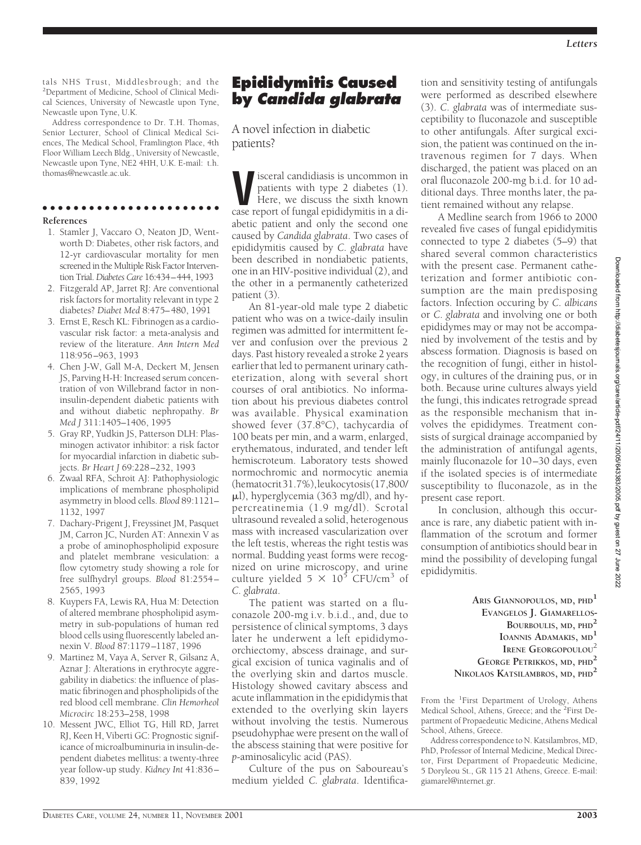tals NHS Trust, Middlesbrough; and the 2 Department of Medicine, School of Clinical Medical Sciences, University of Newcastle upon Tyne, Newcastle upon Tyne, U.K.

Address correspondence to Dr. T.H. Thomas, Senior Lecturer, School of Clinical Medical Sciences, The Medical School, Framlington Place, 4th Floor William Leech Bldg., University of Newcastle, Newcastle upon Tyne, NE2 4HH, U.K. E-mail: t.h. thomas@newcastle.ac.uk.

#### ●●●●●●●●●●●●●●●●●●●●●●● **References**

- 1. Stamler J, Vaccaro O, Neaton JD, Wentworth D: Diabetes, other risk factors, and 12-yr cardiovascular mortality for men screened in the Multiple Risk Factor Intervention Trial. *Diabetes Care* 16:434–444, 1993
- 2. Fitzgerald AP, Jarret RJ: Are conventional risk factors for mortality relevant in type 2 diabetes? *Diabet Med* 8:475–480, 1991
- 3. Ernst E, Resch KL: Fibrinogen as a cardiovascular risk factor: a meta-analysis and review of the literature. *Ann Intern Med* 118:956–963, 1993
- 4. Chen J-W, Gall M-A, Deckert M, Jensen JS, Parving H-H: Increased serum concentration of von Willebrand factor in noninsulin-dependent diabetic patients with and without diabetic nephropathy. *Br Med J* 311:1405–1406, 1995
- 5. Gray RP, Yudkin JS, Patterson DLH: Plasminogen activator inhibitor: a risk factor for myocardial infarction in diabetic subjects. *Br Heart J* 69:228–232, 1993
- 6. Zwaal RFA, Schroit AJ: Pathophysiologic implications of membrane phospholipid asymmetry in blood cells. *Blood* 89:1121– 1132, 1997
- 7. Dachary-Prigent J, Freyssinet JM, Pasquet JM, Carron JC, Nurden AT: Annexin V as a probe of aminophospholipid exposure and platelet membrane vesiculation: a flow cytometry study showing a role for free sulfhydryl groups. *Blood* 81:2554– 2565, 1993
- 8. Kuypers FA, Lewis RA, Hua M: Detection of altered membrane phospholipid asymmetry in sub-populations of human red blood cells using fluorescently labeled annexin V. *Blood* 87:1179–1187, 1996
- 9. Martinez M, Vaya A, Server R, Gilsanz A, Aznar J: Alterations in erythrocyte aggregability in diabetics: the influence of plasmatic fibrinogen and phospholipids of the red blood cell membrane. *Clin Hemorheol Microcirc* 18:253–258, 1998
- 10. Messent JWC, Elliot TG, Hill RD, Jarret RJ, Keen H, Viberti GC: Prognostic significance of microalbuminuria in insulin-dependent diabetes mellitus: a twenty-three year follow-up study. *Kidney Int* 41:836– 839, 1992

### **Epididymitis Caused by** *Candida glabrata*

A novel infection in diabetic patients?

**V** isceral candidiasis is uncommon in<br>patients with type 2 diabetes (1).<br>Here, we discuss the sixth known<br>case report of fungal enididymitis in a dipatients with type 2 diabetes (1). Here, we discuss the sixth known case report of fungal epididymitis in a diabetic patient and only the second one caused by *Candida glabrata*. Two cases of epididymitis caused by *C*. *glabrata* have been described in nondiabetic patients, one in an HIV-positive individual (2), and the other in a permanently catheterized patient (3).

An 81-year-old male type 2 diabetic patient who was on a twice-daily insulin regimen was admitted for intermittent fever and confusion over the previous 2 days. Past history revealed a stroke 2 years earlier that led to permanent urinary catheterization, along with several short courses of oral antibiotics. No information about his previous diabetes control was available. Physical examination showed fever (37.8°C), tachycardia of 100 beats per min, and a warm, enlarged, erythematous, indurated, and tender left hemiscroteum. Laboratory tests showed normochromic and normocytic anemia (hematocrit31.7%),leukocytosis(17,800/ l), hyperglycemia (363 mg/dl), and hypercreatinemia (1.9 mg/dl). Scrotal ultrasound revealed a solid, heterogenous mass with increased vascularization over the left testis, whereas the right testis was normal. Budding yeast forms were recognized on urine microscopy, and urine culture yielded 5  $\times$  10<sup>5</sup> CFU/cm<sup>3</sup> of *C*. *glabrata*.

The patient was started on a fluconazole 200-mg i.v. b.i.d., and, due to persistence of clinical symptoms, 3 days later he underwent a left epididymoorchiectomy, abscess drainage, and surgical excision of tunica vaginalis and of the overlying skin and dartos muscle. Histology showed cavitary abscess and acute inflammation in the epididymis that extended to the overlying skin layers without involving the testis. Numerous pseudohyphae were present on the wall of the abscess staining that were positive for *p*-aminosalicylic acid (PAS).

Culture of the pus on Saboureau's medium yielded *C. glabrata*. Identification and sensitivity testing of antifungals were performed as described elsewhere (3). *C*. *glabrata* was of intermediate susceptibility to fluconazole and susceptible to other antifungals. After surgical excision, the patient was continued on the intravenous regimen for 7 days. When discharged, the patient was placed on an oral fluconazole 200-mg b.i.d. for 10 additional days. Three months later, the patient remained without any relapse.

A Medline search from 1966 to 2000 revealed five cases of fungal epididymitis connected to type 2 diabetes (5–9) that shared several common characteristics with the present case. Permanent catheterization and former antibiotic consumption are the main predisposing factors. Infection occuring by *C*. *albicans* or *C*. *glabrata* and involving one or both epididymes may or may not be accompanied by involvement of the testis and by abscess formation. Diagnosis is based on the recognition of fungi, either in histology, in cultures of the draining pus, or in both. Because urine cultures always yield the fungi, this indicates retrograde spread as the responsible mechanism that involves the epididymes. Treatment consists of surgical drainage accompanied by the administration of antifungal agents, mainly fluconazole for 10–30 days, even if the isolated species is of intermediate susceptibility to fluconazole, as in the present case report.

In conclusion, although this occurance is rare, any diabetic patient with inflammation of the scrotum and former consumption of antibiotics should bear in mind the possibility of developing fungal epididymitis.

> **ARIS GIANNOPOULOS, MD, PHD<sup>1</sup> EVANGELOS J. GIAMARELLOS-BOURBOULIS, MD, PHD2 IOANNIS ADAMAKIS, MD<sup>1</sup> IRENE GEORGOPOULOU**<sup>2</sup> **GEORGE PETRIKKOS, MD, PHD<sup>2</sup> NIKOLAOS KATSILAMBROS, MD, PHD<sup>2</sup>**

From the <sup>1</sup>First Department of Urology, Athens Medical School, Athens, Greece; and the <sup>2</sup>First Department of Propaedeutic Medicine, Athens Medical School, Athens, Greece.

Address correspondence to N. Katsilambros, MD, PhD, Professor of Internal Medicine, Medical Director, First Department of Propaedeutic Medicine, 5 Doryleou St., GR 115 21 Athens, Greece. E-mail: giamarel@internet.gr.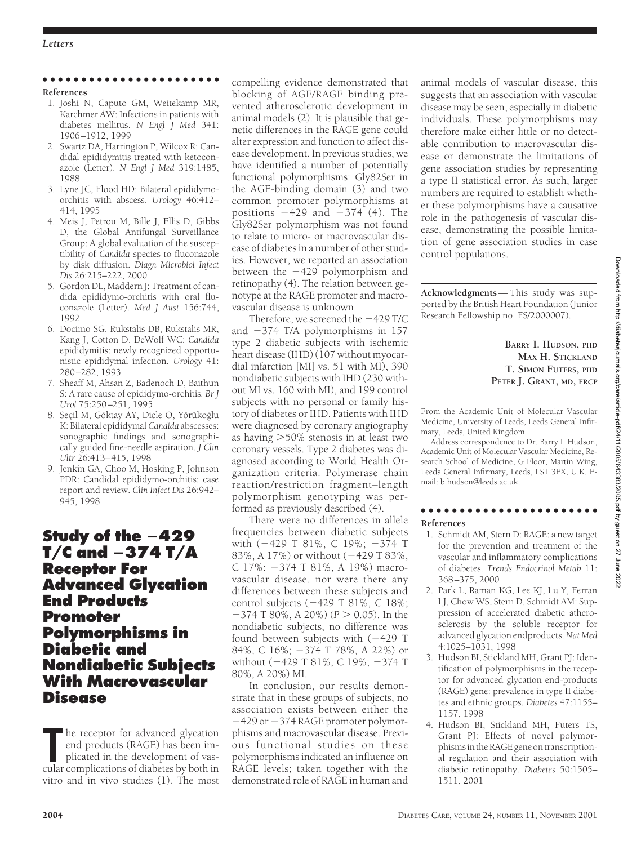#### ●●●●●●●●●●●●●●●●●●●●●●●

#### **References**

- 1. Joshi N, Caputo GM, Weitekamp MR, Karchmer AW: Infections in patients with diabetes mellitus. *N Engl J Med* 341: 1906–1912, 1999
- 2. Swartz DA, Harrington P, Wilcox R: Candidal epididymitis treated with ketoconazole (Letter). *N Engl J Med* 319:1485, 1988
- 3. Lyne JC, Flood HD: Bilateral epididymoorchitis with abscess. *Urology* 46:412– 414, 1995
- 4. Meis J, Petrou M, Bille J, Ellis D, Gibbs D, the Global Antifungal Surveillance Group: A global evaluation of the susceptibility of *Candida* species to fluconazole by disk diffusion. *Diagn Microbiol Infect Dis* 26:215–222, 2000
- 5. Gordon DL, Maddern J: Treatment of candida epididymo-orchitis with oral fluconazole (Letter). *Med J Aust* 156:744, 1992
- 6. Docimo SG, Rukstalis DB, Rukstalis MR, Kang J, Cotton D, DeWolf WC: *Candida* epididymitis: newly recognized opportunistic epididymal infection. *Urology* 41: 280–282, 1993
- 7. Sheaff M, Ahsan Z, Badenoch D, Baithun S: A rare cause of epididymo-orchitis*. Br J Urol* 75:250–251, 1995
- 8. Seçil M, Göktay AY, Dicle O, Yörükoğlu K: Bilateral epididymal *Candida* abscesses: sonographic findings and sonographically guided fine-needle aspiration. *J Clin Ultr* 26:413–415, 1998
- 9. Jenkin GA, Choo M, Hosking P, Johnson PDR: Candidal epididymo-orchitis: case report and review. *Clin Infect Dis* 26:942– 945, 1998

### **Study of the 429 T/C and 374 T/A Receptor For Advanced Glycation End Products Promoter Polymorphisms in Diabetic and Nondiabetic Subjects With Macrovascular Disease**

**The receptor for advanced glycation end products (RAGE) has been implicated in the development of vascular complications of diabetes by both in** he receptor for advanced glycation end products (RAGE) has been implicated in the development of vasvitro and in vivo studies (1). The most

compelling evidence demonstrated that blocking of AGE/RAGE binding prevented atherosclerotic development in animal models (2). It is plausible that genetic differences in the RAGE gene could alter expression and function to affect disease development. In previous studies, we have identified a number of potentially functional polymorphisms: Gly82Ser in the AGE-binding domain (3) and two common promoter polymorphisms at positions  $-429$  and  $-374$  (4). The Gly82Ser polymorphism was not found to relate to micro- or macrovascular disease of diabetes in a number of other studies. However, we reported an association between the  $-429$  polymorphism and retinopathy (4). The relation between genotype at the RAGE promoter and macrovascular disease is unknown.

Therefore, we screened the  $-429$  T/C and  $-374$  T/A polymorphisms in 157 type 2 diabetic subjects with ischemic heart disease (IHD) (107 without myocardial infarction [MI] vs. 51 with MI), 390 nondiabetic subjects with IHD (230 without MI vs. 160 with MI), and 199 control subjects with no personal or family history of diabetes or IHD. Patients with IHD were diagnosed by coronary angiography as having 50% stenosis in at least two coronary vessels. Type 2 diabetes was diagnosed according to World Health Organization criteria. Polymerase chain reaction/restriction fragment–length polymorphism genotyping was performed as previously described (4).

There were no differences in allele frequencies between diabetic subjects with  $(-429 \text{ T } 81\%, \text{ C } 19\%; -374 \text{ T }$ 83%, A 17%) or without (-429 T 83%, C 17%; -374 T 81%, A 19%) macrovascular disease, nor were there any differences between these subjects and control subjects  $(-429 \text{ T } 81\%, \text{ C } 18\%;$  $-374$  T 80%, A 20%) ( $P > 0.05$ ). In the nondiabetic subjects, no difference was found between subjects with  $(-429)$  T 84%, C 16%; -374 T 78%, A 22%) or without  $(-429 \text{ T } 81\%, \text{ C } 19\%; -374 \text{ T }$ 80%, A 20%) MI.

In conclusion, our results demonstrate that in these groups of subjects, no association exists between either the  $-429$  or  $-374$  RAGE promoter polymorphisms and macrovascular disease. Previous functional studies on these polymorphisms indicated an influence on RAGE levels; taken together with the demonstrated role of RAGE in human and animal models of vascular disease, this suggests that an association with vascular disease may be seen, especially in diabetic individuals. These polymorphisms may therefore make either little or no detectable contribution to macrovascular disease or demonstrate the limitations of gene association studies by representing a type II statistical error. As such, larger numbers are required to establish whether these polymorphisms have a causative role in the pathogenesis of vascular disease, demonstrating the possible limitation of gene association studies in case control populations.

**Acknowledgments**— This study was supported by the British Heart Foundation (Junior Research Fellowship no. FS/2000007).

#### **BARRY I. HUDSON, PHD MAX H. STICKLAND T. SIMON FUTERS, PHD PETER J. GRANT, MD, FRCP**

From the Academic Unit of Molecular Vascular Medicine, University of Leeds, Leeds General Infirmary, Leeds, United Kingdom.

Address correspondence to Dr. Barry I. Hudson, Academic Unit of Molecular Vascular Medicine, Research School of Medicine, G Floor, Martin Wing, Leeds General Infirmary, Leeds, LS1 3EX, U.K. Email: b.hudson@leeds.ac.uk.

### ●●●●●●●●●●●●●●●●●●●●●●●

#### **References**

- 1. Schmidt AM, Stern D: RAGE: a new target for the prevention and treatment of the vascular and inflammatory complications of diabetes. *Trends Endocrinol Metab* 11: 368–375, 2000
- 2. Park L, Raman KG, Lee KJ, Lu Y, Ferran LJ, Chow WS, Stern D, Schmidt AM: Suppression of accelerated diabetic atherosclerosis by the soluble receptor for advanced glycation endproducts.*Nat Med* 4:1025–1031, 1998
- 3. Hudson BI, Stickland MH, Grant PJ: Identification of polymorphisms in the receptor for advanced glycation end-products (RAGE) gene: prevalence in type II diabetes and ethnic groups. *Diabetes* 47:1155– 1157, 1998
- 4. Hudson BI, Stickland MH, Futers TS, Grant PJ: Effects of novel polymorphisms in the RAGE gene on transcriptional regulation and their association with diabetic retinopathy. *Diabetes* 50:1505– 1511, 2001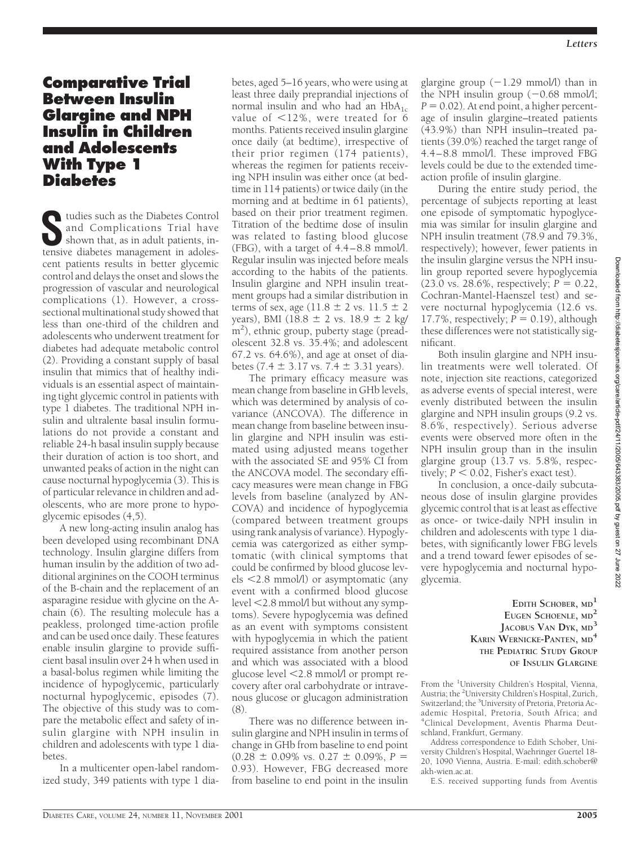#### *Letters*

glargine group  $(-1.29 \text{ mmol/l})$  than in the NPH insulin group  $(-0.68 \text{ mmol/}l)$ ;  $P = 0.02$ ). At end point, a higher percentage of insulin glargine–treated patients (43.9%) than NPH insulin–treated patients (39.0%) reached the target range of 4.4–8.8 mmol/l. These improved FBG levels could be due to the extended timeaction profile of insulin glargine.

During the entire study period, the percentage of subjects reporting at least one episode of symptomatic hypoglycemia was similar for insulin glargine and NPH insulin treatment (78.9 and 79.3%, respectively); however, fewer patients in the insulin glargine versus the NPH insulin group reported severe hypoglycemia  $(23.0 \text{ vs. } 28.6\%, respectively; P = 0.22,$ Cochran-Mantel-Haenszel test) and severe nocturnal hypoglycemia (12.6 vs.  $17.7\%$ , respectively;  $P = 0.19$ ), although these differences were not statistically significant.

Both insulin glargine and NPH insulin treatments were well tolerated. Of note, injection site reactions, categorized as adverse events of special interest, were evenly distributed between the insulin glargine and NPH insulin groups (9.2 vs. 8.6%, respectively). Serious adverse events were observed more often in the NPH insulin group than in the insulin glargine group (13.7 vs. 5.8%, respectively;  $P < 0.02$ , Fisher's exact test).

In conclusion, a once-daily subcutaneous dose of insulin glargine provides glycemic control that is at least as effective as once- or twice-daily NPH insulin in children and adolescents with type 1 diabetes, with significantly lower FBG levels and a trend toward fewer episodes of severe hypoglycemia and nocturnal hypoglycemia.

> **EDITH SCHOBER, MD<sup>1</sup> EUGEN SCHOENLE, MD<sup>2</sup> JACOBUS VAN DYK, MD<sup>3</sup> KARIN WERNICKE-PANTEN, MD<sup>4</sup> THE PEDIATRIC STUDY GROUP OF INSULIN GLARGINE**

From the <sup>1</sup>University Children's Hospital, Vienna, Austria; the <sup>2</sup> University Children's Hospital, Zurich, Switzerland; the <sup>3</sup>University of Pretoria, Pretoria Academic Hospital, Pretoria, South Africa; and 4 Clinical Development, Aventis Pharma Deutschland, Frankfurt, Germany.

Address correspondence to Edith Schober, University Children's Hospital, Waehringer Guertel 18- 20, 1090 Vienna, Austria. E-mail: edith.schober@ akh-wien.ac.at.

E.S. received supporting funds from Aventis

### **Comparative Trial Between Insulin Glargine and NPH Insulin in Children and Adolescents With Type 1 Diabetes**

**S**tudies such as the Diabetes Control and Complications Trial have shown that, as in adult patients, intensive diabetes management in adolescent patients results in better glycemic control and delays the onset and slows the progression of vascular and neurological complications (1). However, a crosssectional multinational study showed that less than one-third of the children and adolescents who underwent treatment for diabetes had adequate metabolic control (2). Providing a constant supply of basal insulin that mimics that of healthy individuals is an essential aspect of maintaining tight glycemic control in patients with type 1 diabetes. The traditional NPH insulin and ultralente basal insulin formulations do not provide a constant and reliable 24-h basal insulin supply because their duration of action is too short, and unwanted peaks of action in the night can cause nocturnal hypoglycemia (3). This is of particular relevance in children and adolescents, who are more prone to hypoglycemic episodes (4,5).

A new long-acting insulin analog has been developed using recombinant DNA technology. Insulin glargine differs from human insulin by the addition of two additional arginines on the COOH terminus of the B-chain and the replacement of an asparagine residue with glycine on the Achain (6). The resulting molecule has a peakless, prolonged time-action profile and can be used once daily. These features enable insulin glargine to provide sufficient basal insulin over 24 h when used in a basal-bolus regimen while limiting the incidence of hypoglycemic, particularly nocturnal hypoglycemic, episodes (7). The objective of this study was to compare the metabolic effect and safety of insulin glargine with NPH insulin in children and adolescents with type 1 diabetes.

In a multicenter open-label randomized study, 349 patients with type 1 dia-

betes, aged 5–16 years, who were using at least three daily preprandial injections of normal insulin and who had an  $HbA_{1c}$ value of  $\leq 12\%$ , were treated for 6 months. Patients received insulin glargine once daily (at bedtime), irrespective of their prior regimen (174 patients), whereas the regimen for patients receiving NPH insulin was either once (at bedtime in 114 patients) or twice daily (in the morning and at bedtime in 61 patients), based on their prior treatment regimen. Titration of the bedtime dose of insulin was related to fasting blood glucose (FBG), with a target of 4.4–8.8 mmol/l. Regular insulin was injected before meals according to the habits of the patients. Insulin glargine and NPH insulin treatment groups had a similar distribution in terms of sex, age (11.8  $\pm$  2 vs. 11.5  $\pm$  2 years), BMI (18.8  $\pm$  2 vs. 18.9  $\pm$  2 kg/ m<sup>2</sup>), ethnic group, puberty stage (preadolescent 32.8 vs. 35.4%; and adolescent 67.2 vs. 64.6%), and age at onset of diabetes (7.4  $\pm$  3.17 vs. 7.4  $\pm$  3.31 years).

The primary efficacy measure was mean change from baseline in GHb levels, which was determined by analysis of covariance (ANCOVA). The difference in mean change from baseline between insulin glargine and NPH insulin was estimated using adjusted means together with the associated SE and 95% CI from the ANCOVA model. The secondary efficacy measures were mean change in FBG levels from baseline (analyzed by AN-COVA) and incidence of hypoglycemia (compared between treatment groups using rank analysis of variance). Hypoglycemia was catergorized as either symptomatic (with clinical symptoms that could be confirmed by blood glucose levels  $\leq$ 2.8 mmol/l) or asymptomatic (any event with a confirmed blood glucose level 2.8 mmol/l but without any symptoms). Severe hypoglycemia was defined as an event with symptoms consistent with hypoglycemia in which the patient required assistance from another person and which was associated with a blood glucose level 2.8 mmol/l or prompt recovery after oral carbohydrate or intravenous glucose or glucagon administration (8).

There was no difference between insulin glargine and NPH insulin in terms of change in GHb from baseline to end point  $(0.28 \pm 0.09\% \text{ vs. } 0.27 \pm 0.09\%, P =$ 0.93). However, FBG decreased more from baseline to end point in the insulin

202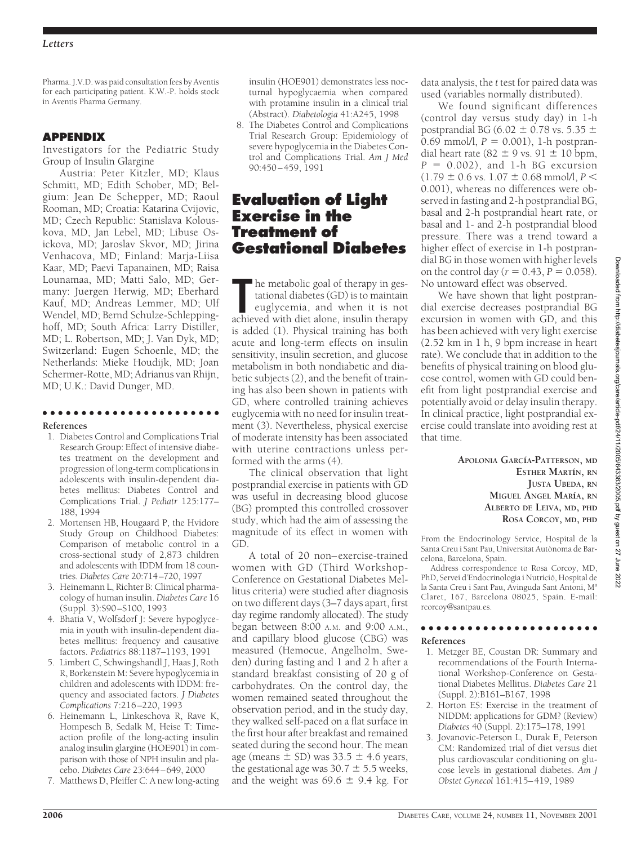Pharma. J.V.D. was paid consultation fees by Aventis for each participating patient. K.W.-P. holds stock in Aventis Pharma Germany.

### **APPENDIX**

Investigators for the Pediatric Study Group of Insulin Glargine

Austria: Peter Kitzler, MD; Klaus Schmitt, MD; Edith Schober, MD; Belgium: Jean De Schepper, MD; Raoul Rooman, MD; Croatia: Katarina Cvijovic, MD; Czech Republic: Stanislava Kolouskova, MD, Jan Lebel, MD; Libuse Osickova, MD; Jaroslav Skvor, MD; Jirina Venhacova, MD; Finland: Marja-Liisa Kaar, MD; Paevi Tapanainen, MD; Raisa Lounamaa, MD; Matti Salo, MD; Germany: Juergen Herwig, MD; Eberhard Kauf, MD; Andreas Lemmer, MD; Ulf Wendel, MD; Bernd Schulze-Schleppinghoff, MD; South Africa: Larry Distiller, MD; L. Robertson, MD; J. Van Dyk, MD; Switzerland: Eugen Schoenle, MD; the Netherlands: Mieke Houdijk, MD; Joan Schermer-Rotte, MD; Adrianus van Rhijn, MD; U.K.: David Dunger, MD.

#### ●●●●●●●●●●●●●●●●●●●●●●● **References**

- 1. Diabetes Control and Complications Trial Research Group: Effect of intensive diabetes treatment on the development and progression of long-term complications in adolescents with insulin-dependent diabetes mellitus: Diabetes Control and Complications Trial. *J Pediatr* 125:177– 188, 1994
- 2. Mortensen HB, Hougaard P, the Hvidore Study Group on Childhood Diabetes: Comparison of metabolic control in a cross-sectional study of 2,873 children and adolescents with IDDM from 18 countries. *Diabetes Care* 20:714–720, 1997
- 3. Heinemann L, Richter B: Clinical pharmacology of human insulin. *Diabetes Care* 16 (Suppl. 3):S90–S100, 1993
- 4. Bhatia V, Wolfsdorf J: Severe hypoglycemia in youth with insulin-dependent diabetes mellitus: frequency and causative factors. *Pediatrics* 88:1187–1193, 1991
- 5. Limbert C, Schwingshandl J, Haas J, Roth R, Borkenstein M: Severe hypoglycemia in children and adolescents with IDDM: frequency and associated factors. *J Diabetes Complications* 7:216–220, 1993
- 6. Heinemann L, Linkeschova R, Rave K, Hompesch B, Sedalk M, Heise T: Timeaction profile of the long-acting insulin analog insulin glargine (HOE901) in comparison with those of NPH insulin and placebo. *Diabetes Care* 23:644–649, 2000
- 7. Matthews D, Pfeiffer C: A new long-acting

insulin (HOE901) demonstrates less nocturnal hypoglycaemia when compared with protamine insulin in a clinical trial (Abstract). *Diabetologia* 41:A245, 1998

8. The Diabetes Control and Complications Trial Research Group: Epidemiology of severe hypoglycemia in the Diabetes Control and Complications Trial. *Am J Med* 90:450–459, 1991

### **Evaluation of Light Exercise in the Treatment of Gestational Diabetes**

The metabolic goal of therapy in gestational diabetes (GD) is to maintain euglycemia, and when it is not achieved with diet alone, insulin therapy he metabolic goal of therapy in gestational diabetes (GD) is to maintain euglycemia, and when it is not is added (1). Physical training has both acute and long-term effects on insulin sensitivity, insulin secretion, and glucose metabolism in both nondiabetic and diabetic subjects (2), and the benefit of training has also been shown in patients with GD, where controlled training achieves euglycemia with no need for insulin treatment (3). Nevertheless, physical exercise of moderate intensity has been associated with uterine contractions unless performed with the arms (4).

The clinical observation that light postprandial exercise in patients with GD was useful in decreasing blood glucose (BG) prompted this controlled crossover study, which had the aim of assessing the magnitude of its effect in women with GD.

A total of 20 non– exercise-trained women with GD (Third Workshop-Conference on Gestational Diabetes Mellitus criteria) were studied after diagnosis on two different days (3–7 days apart, first day regime randomly allocated). The study began between 8:00 A.M. and 9:00 A.M., and capillary blood glucose (CBG) was measured (Hemocue, Angelholm, Sweden) during fasting and 1 and 2 h after a standard breakfast consisting of 20 g of carbohydrates. On the control day, the women remained seated throughout the observation period, and in the study day, they walked self-paced on a flat surface in the first hour after breakfast and remained seated during the second hour. The mean age (means  $\pm$  SD) was 33.5  $\pm$  4.6 years, the gestational age was  $30.7 \pm 5.5$  weeks, and the weight was  $69.6 \pm 9.4$  kg. For

data analysis, the *t* test for paired data was used (variables normally distributed).

We found significant differences (control day versus study day) in 1-h postprandial BG (6.02  $\pm$  0.78 vs. 5.35  $\pm$  $0.69$  mmol/l,  $P = 0.001$ ), 1-h postprandial heart rate (82  $\pm$  9 vs. 91  $\pm$  10 bpm,  $P = 0.002$ ), and 1-h BG excursion  $(1.79 \pm 0.6 \text{ vs. } 1.07 \pm 0.68 \text{ mmol/l}, P <$ 0.001), whereas no differences were observed in fasting and 2-h postprandial BG, basal and 2-h postprandial heart rate, or basal and 1- and 2-h postprandial blood pressure. There was a trend toward a higher effect of exercise in 1-h postprandial BG in those women with higher levels on the control day ( $r = 0.43$ ,  $P = 0.058$ ). No untoward effect was observed.

We have shown that light postprandial exercise decreases postprandial BG excursion in women with GD, and this has been achieved with very light exercise (2.52 km in 1 h, 9 bpm increase in heart rate). We conclude that in addition to the benefits of physical training on blood glucose control, women with GD could benefit from light postprandial exercise and potentially avoid or delay insulin therapy. In clinical practice, light postprandial exercise could translate into avoiding rest at that time.

> **APOLONIA GARCı´A-PATTERSON, MD ESTHER MARTı´N, RN JUSTA UBEDA, RN MIGUEL ANGEL MARı´A, RN ALBERTO DE LEIVA, MD, PHD ROSA CORCOY, MD, PHD**

From the Endocrinology Service, Hospital de la Santa Creu i Sant Pau, Universitat Autònoma de Barcelona, Barcelona, Spain.

Address correspondence to Rosa Corcoy, MD, PhD, Servei d'Endocrinologia i Nutrició, Hospital de la Santa Creu i Sant Pau, Avinguda Sant Antoni, M<sup>a</sup> Claret, 167, Barcelona 08025, Spain. E-mail: rcorcoy@santpau.es.

#### ●●●●●●●●●●●●●●●●●●●●●●●

#### **References**

- 1. Metzger BE, Coustan DR: Summary and recommendations of the Fourth International Workshop-Conference on Gestational Diabetes Mellitus. *Diabetes Care* 21 (Suppl. 2):B161–B167, 1998
- 2. Horton ES: Exercise in the treatment of NIDDM: applications for GDM? (Review) *Diabetes* 40 (Suppl. 2):175–178, 1991
- 3. Jovanovic-Peterson L, Durak E, Peterson CM: Randomized trial of diet versus diet plus cardiovascular conditioning on glucose levels in gestational diabetes. *Am J Obstet Gynecol* 161:415–419, 1989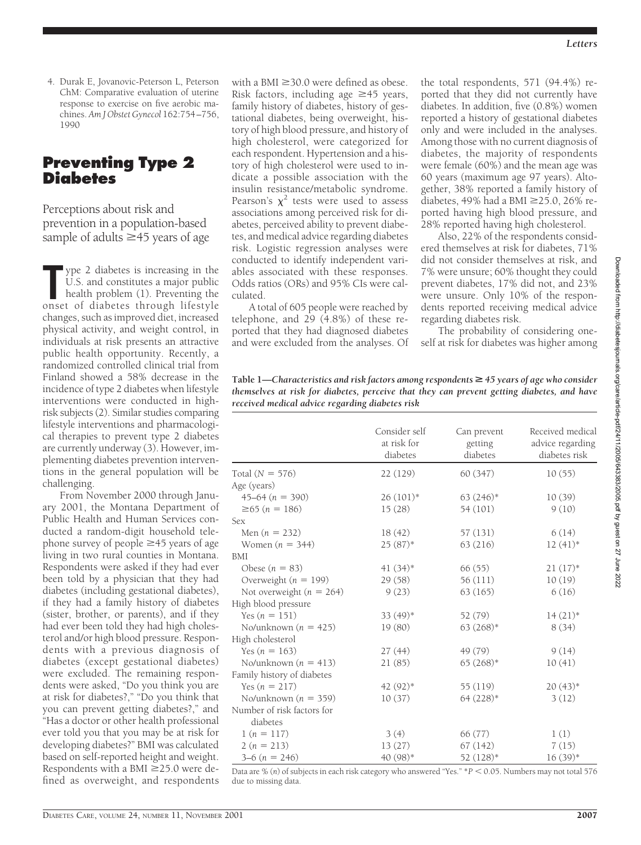4. Durak E, Jovanovic-Peterson L, Peterson ChM: Comparative evaluation of uterine response to exercise on five aerobic machines. *Am J Obstet Gynecol* 162:754–756, 1990

### **Preventing Type 2 Diabetes**

Perceptions about risk and prevention in a population-based sample of adults  $\geq$ 45 years of age

The ype 2 diabetes is increasing in the U.S. and constitutes a major public health problem (1). Preventing the onset of diabetes through lifestyle ype 2 diabetes is increasing in the U.S. and constitutes a major public health problem (1). Preventing the changes, such as improved diet, increased physical activity, and weight control, in individuals at risk presents an attractive public health opportunity. Recently, a randomized controlled clinical trial from Finland showed a 58% decrease in the incidence of type 2 diabetes when lifestyle interventions were conducted in highrisk subjects (2). Similar studies comparing lifestyle interventions and pharmacological therapies to prevent type 2 diabetes are currently underway (3). However, implementing diabetes prevention interventions in the general population will be challenging.

From November 2000 through January 2001, the Montana Department of Public Health and Human Services conducted a random-digit household telephone survey of people  $\geq$ 45 years of age living in two rural counties in Montana. Respondents were asked if they had ever been told by a physician that they had diabetes (including gestational diabetes), if they had a family history of diabetes (sister, brother, or parents), and if they had ever been told they had high cholesterol and/or high blood pressure. Respondents with a previous diagnosis of diabetes (except gestational diabetes) were excluded. The remaining respondents were asked, "Do you think you are at risk for diabetes?," "Do you think that you can prevent getting diabetes?," and "Has a doctor or other health professional ever told you that you may be at risk for developing diabetes?" BMI was calculated based on self-reported height and weight. Respondents with a BMI  $\geq$ 25.0 were defined as overweight, and respondents with a BMI  $\geq$ 30.0 were defined as obese. Risk factors, including age  $\geq$ 45 years, family history of diabetes, history of gestational diabetes, being overweight, history of high blood pressure, and history of high cholesterol, were categorized for each respondent. Hypertension and a history of high cholesterol were used to indicate a possible association with the insulin resistance/metabolic syndrome. Pearson's  $\chi^2$  tests were used to assess associations among perceived risk for diabetes, perceived ability to prevent diabetes, and medical advice regarding diabetes risk. Logistic regression analyses were conducted to identify independent variables associated with these responses. Odds ratios (ORs) and 95% CIs were calculated.

A total of 605 people were reached by telephone, and 29 (4.8%) of these reported that they had diagnosed diabetes and were excluded from the analyses. Of the total respondents, 571 (94.4%) reported that they did not currently have diabetes. In addition, five (0.8%) women reported a history of gestational diabetes only and were included in the analyses. Among those with no current diagnosis of diabetes, the majority of respondents were female (60%) and the mean age was 60 years (maximum age 97 years). Altogether, 38% reported a family history of diabetes, 49% had a BMI  $\geq$ 25.0, 26% reported having high blood pressure, and 28% reported having high cholesterol.

Also, 22% of the respondents considered themselves at risk for diabetes, 71% did not consider themselves at risk, and 7% were unsure; 60% thought they could prevent diabetes, 17% did not, and 23% were unsure. Only 10% of the respondents reported receiving medical advice regarding diabetes risk.

The probability of considering oneself at risk for diabetes was higher among

**Table 1—***Characteristics and risk factors among respondents* > *45 years of age who consider themselves at risk for diabetes, perceive that they can prevent getting diabetes, and have received medical advice regarding diabetes risk*

|                              | Consider self<br>at risk for<br>diabetes | Can prevent<br>getting<br>diabetes | Received medical<br>advice regarding<br>diabetes risk |
|------------------------------|------------------------------------------|------------------------------------|-------------------------------------------------------|
| Total $(N = 576)$            | 22 (129)                                 | 60 (347)                           | 10(55)                                                |
| Age (years)                  |                                          |                                    |                                                       |
| $45-64 (n = 390)$            | $26(101)*$                               | $63(246)*$                         | 10(39)                                                |
| $\geq 65 (n = 186)$          | 15(28)                                   | 54 (101)                           | 9(10)                                                 |
| <b>Sex</b>                   |                                          |                                    |                                                       |
| Men $(n = 232)$              | 18(42)                                   | 57 (131)                           | 6(14)                                                 |
| Women $(n = 344)$            | $25(87)$ *                               | 63 (216)                           | $12(41)*$                                             |
| BMI                          |                                          |                                    |                                                       |
| Obese $(n = 83)$             | $41(34)$ *                               | 66 (55)                            | $21(17)*$                                             |
| Overweight ( $n = 199$ )     | 29(58)                                   | 56 (111)                           | 10(19)                                                |
| Not overweight ( $n = 264$ ) | 9(23)                                    | 63(165)                            | 6(16)                                                 |
| High blood pressure          |                                          |                                    |                                                       |
| Yes $(n = 151)$              | $33(49)*$                                | 52 (79)                            | $14(21)*$                                             |
| No/unknown ( $n = 425$ )     | 19(80)                                   | $63(268)*$                         | 8(34)                                                 |
| High cholesterol             |                                          |                                    |                                                       |
| Yes $(n = 163)$              | 27(44)                                   | 49 (79)                            | 9(14)                                                 |
| No/unknown $(n = 413)$       | 21(85)                                   | $65(268)*$                         | 10(41)                                                |
| Family history of diabetes   |                                          |                                    |                                                       |
| Yes $(n = 217)$              | 42 (92)*                                 | 55 (119)                           | $20(43)*$                                             |
| No/unknown ( $n = 359$ )     | 10(37)                                   | 64 (228)*                          | 3(12)                                                 |
| Number of risk factors for   |                                          |                                    |                                                       |
| diabetes                     |                                          |                                    |                                                       |
| $1(n = 117)$                 | 3(4)                                     | 66 (77)                            | 1(1)                                                  |
| $2(n = 213)$                 | 13(27)                                   | 67(142)                            | 7(15)                                                 |
| $3-6(n = 246)$               | 40 (98)*                                 | 52 (128)*                          | $16(39)*$                                             |

Data are % (*n*) of subjects in each risk category who answered "Yes." \**P* 0.05. Numbers may not total 576 due to missing data.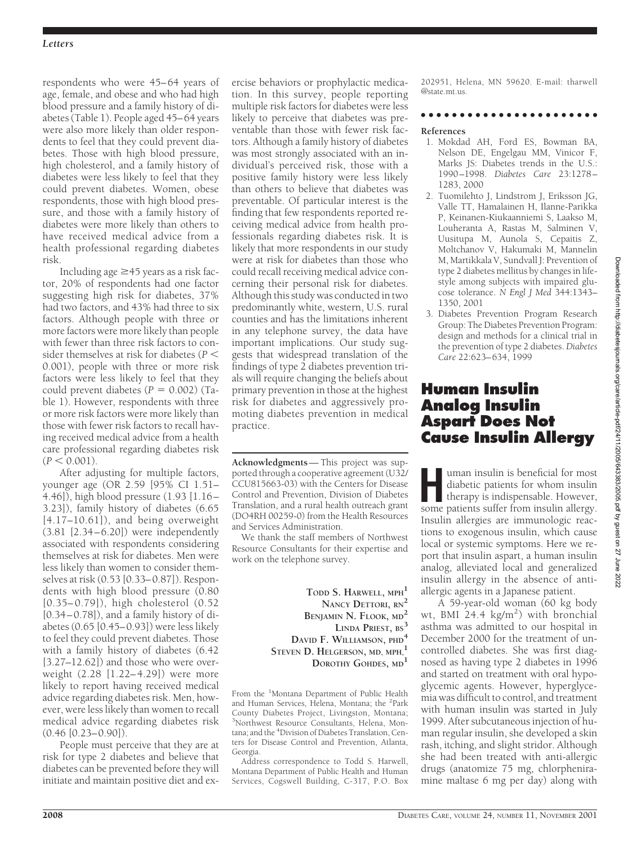respondents who were 45–64 years of age, female, and obese and who had high blood pressure and a family history of diabetes (Table 1). People aged 45–64 years were also more likely than older respondents to feel that they could prevent diabetes. Those with high blood pressure, high cholesterol, and a family history of diabetes were less likely to feel that they could prevent diabetes. Women, obese respondents, those with high blood pressure, and those with a family history of diabetes were more likely than others to have received medical advice from a health professional regarding diabetes risk.

Including age  $\geq$ 45 years as a risk factor, 20% of respondents had one factor suggesting high risk for diabetes, 37% had two factors, and 43% had three to six factors. Although people with three or more factors were more likely than people with fewer than three risk factors to consider themselves at risk for diabetes (*P* 0.001), people with three or more risk factors were less likely to feel that they could prevent diabetes  $(P = 0.002)$  (Table 1). However, respondents with three or more risk factors were more likely than those with fewer risk factors to recall having received medical advice from a health care professional regarding diabetes risk  $(P < 0.001)$ .

After adjusting for multiple factors, younger age (OR 2.59 [95% CI 1.51– 4.46]), high blood pressure (1.93 [1.16– 3.23]), family history of diabetes (6.65  $[4.17–10.61]$ , and being overweight (3.81 [2.34–6.20]) were independently associated with respondents considering themselves at risk for diabetes. Men were less likely than women to consider themselves at risk (0.53 [0.33–0.87]). Respondents with high blood pressure (0.80 [0.35– 0.79]), high cholesterol (0.52 [0.34–0.78]), and a family history of diabetes (0.65 [0.45–0.93]) were less likely to feel they could prevent diabetes. Those with a family history of diabetes (6.42  $[3.27-12.62]$ ) and those who were overweight (2.28 [1.22– 4.29]) were more likely to report having received medical advice regarding diabetes risk. Men, however, were less likely than women to recall medical advice regarding diabetes risk (0.46 [0.23–0.90]).

People must perceive that they are at risk for type 2 diabetes and believe that diabetes can be prevented before they will initiate and maintain positive diet and ex-

ercise behaviors or prophylactic medication. In this survey, people reporting multiple risk factors for diabetes were less likely to perceive that diabetes was preventable than those with fewer risk factors. Although a family history of diabetes was most strongly associated with an individual's perceived risk, those with a positive family history were less likely than others to believe that diabetes was preventable. Of particular interest is the finding that few respondents reported receiving medical advice from health professionals regarding diabetes risk. It is likely that more respondents in our study were at risk for diabetes than those who could recall receiving medical advice concerning their personal risk for diabetes. Although this study was conducted in two predominantly white, western, U.S. rural counties and has the limitations inherent in any telephone survey, the data have important implications. Our study suggests that widespread translation of the findings of type 2 diabetes prevention trials will require changing the beliefs about primary prevention in those at the highest risk for diabetes and aggressively promoting diabetes prevention in medical practice.

**Acknowledgments**— This project was supported through a cooperative agreement (U32/ CCU815663-03) with the Centers for Disease Control and Prevention, Division of Diabetes Translation, and a rural health outreach grant (DO4RH 00259-0) from the Health Resources and Services Administration.

We thank the staff members of Northwest Resource Consultants for their expertise and work on the telephone survey.

> **TODD S. HARWELL, MPH<sup>1</sup> NANCY DETTORI, RN<sup>2</sup> BENJAMIN N. FLOOK, MD<sup>2</sup> LINDA PRIEST, BS<sup>3</sup> DAVID F. WILLIAMSON, PHD<sup>4</sup>** STEVEN D. HELGERSON, MD, MPH,<sup>1</sup> **DOROTHY GOHDES, MD<sup>1</sup>**

From the <sup>1</sup>Montana Department of Public Health and Human Services, Helena, Montana; the <sup>2</sup>Park County Diabetes Project, Livingston, Montana; 3 Northwest Resource Consultants, Helena, Montana; and the <sup>4</sup>Division of Diabetes Translation, Centers for Disease Control and Prevention, Atlanta, Georgia.

Address correspondence to Todd S. Harwell, Montana Department of Public Health and Human Services, Cogswell Building, C-317, P.O. Box 202951, Helena, MN 59620. E-mail: tharwell @state.mt.us.

#### ●●●●●●●●●●●●●●●●●●●●●●●

#### **References**

- 1. Mokdad AH, Ford ES, Bowman BA, Nelson DE, Engelgau MM, Vinicor F, Marks JS: Diabetes trends in the U.S.: 1990–1998. *Diabetes Care* 23:1278– 1283, 2000
- 2. Tuomilehto J, Lindstrom J, Eriksson JG, Valle TT, Hamalainen H, Ilanne-Parikka P, Keinanen-Kiukaanniemi S, Laakso M, Louheranta A, Rastas M, Salminen V, Uusitupa M, Aunola S, Cepaitis Z, Moltchanov V, Hakumaki M, Mannelin M, Martikkala V, Sundvall J: Prevention of type 2 diabetes mellitus by changes in lifestyle among subjects with impaired glucose tolerance. *N Engl J Med* 344:1343– 1350, 2001
- 3. Diabetes Prevention Program Research Group: The Diabetes Prevention Program: design and methods for a clinical trial in the prevention of type 2 diabetes. *Diabetes Care* 22:623–634, 1999

### **Human Insulin Analog Insulin Aspart Does Not Cause Insulin Allergy**

**Human** insulin is beneficial for most<br>
diabetic patients for whom insulin<br>
therapy is indispensable. However,<br>
some patients suffer from insulin allergy diabetic patients for whom insulin some patients suffer from insulin allergy. Insulin allergies are immunologic reactions to exogenous insulin, which cause local or systemic symptoms. Here we report that insulin aspart, a human insulin analog, alleviated local and generalized insulin allergy in the absence of antiallergic agents in a Japanese patient.

A 59-year-old woman (60 kg body wt, BMI 24.4 kg/m<sup>2</sup>) with bronchial asthma was admitted to our hospital in December 2000 for the treatment of uncontrolled diabetes. She was first diagnosed as having type 2 diabetes in 1996 and started on treatment with oral hypoglycemic agents. However, hyperglycemia was difficult to control, and treatment with human insulin was started in July 1999. After subcutaneous injection of human regular insulin, she developed a skin rash, itching, and slight stridor. Although she had been treated with anti-allergic drugs (anatomize 75 mg, chlorpheniramine maltase 6 mg per day) along with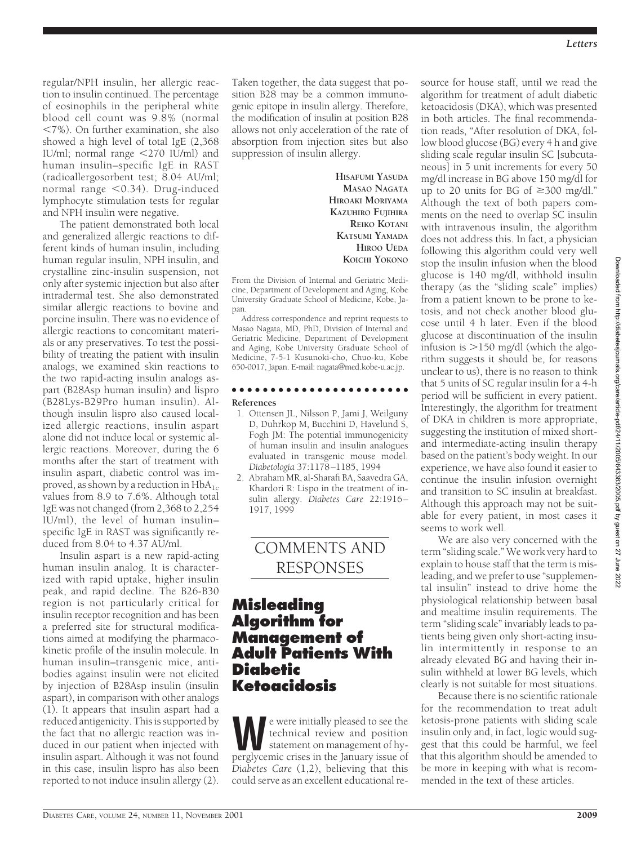regular/NPH insulin, her allergic reaction to insulin continued. The percentage of eosinophils in the peripheral white blood cell count was 9.8% (normal 7%). On further examination, she also showed a high level of total IgE (2,368 IU/ml; normal range 270 IU/ml) and human insulin–specific IgE in RAST (radioallergosorbent test; 8.04 AU/ml; normal range  $< 0.34$ ). Drug-induced lymphocyte stimulation tests for regular and NPH insulin were negative.

The patient demonstrated both local and generalized allergic reactions to different kinds of human insulin, including human regular insulin, NPH insulin, and crystalline zinc-insulin suspension, not only after systemic injection but also after intradermal test. She also demonstrated similar allergic reactions to bovine and porcine insulin. There was no evidence of allergic reactions to concomitant materials or any preservatives. To test the possibility of treating the patient with insulin analogs, we examined skin reactions to the two rapid-acting insulin analogs aspart (B28Asp human insulin) and lispro (B28Lys-B29Pro human insulin). Although insulin lispro also caused localized allergic reactions, insulin aspart alone did not induce local or systemic allergic reactions. Moreover, during the 6 months after the start of treatment with insulin aspart, diabetic control was improved, as shown by a reduction in  $HbA_{1c}$ values from 8.9 to 7.6%. Although total IgE was not changed (from 2,368 to 2,254 IU/ml), the level of human insulin– specific IgE in RAST was significantly reduced from 8.04 to 4.37 AU/ml.

Insulin aspart is a new rapid-acting human insulin analog. It is characterized with rapid uptake, higher insulin peak, and rapid decline. The B26-B30 region is not particularly critical for insulin receptor recognition and has been a preferred site for structural modifications aimed at modifying the pharmacokinetic profile of the insulin molecule. In human insulin–transgenic mice, antibodies against insulin were not elicited by injection of B28Asp insulin (insulin aspart), in comparison with other analogs (1). It appears that insulin aspart had a reduced antigenicity. This is supported by the fact that no allergic reaction was induced in our patient when injected with insulin aspart. Although it was not found in this case, insulin lispro has also been reported to not induce insulin allergy (2).

Taken together, the data suggest that position B28 may be a common immunogenic epitope in insulin allergy. Therefore, the modification of insulin at position B28 allows not only acceleration of the rate of absorption from injection sites but also suppression of insulin allergy.

> **HISAFUMI YASUDA MASAO NAGATA HIROAKI MORIYAMA KAZUHIRO FUJIHIRA REIKO KOTANI KATSUMI YAMADA HIROO UEDA KOICHI YOKONO**

From the Division of Internal and Geriatric Medicine, Department of Development and Aging, Kobe University Graduate School of Medicine, Kobe, Japan.

Address correspondence and reprint requests to Masao Nagata, MD, PhD, Division of Internal and Geriatric Medicine, Department of Development and Aging, Kobe University Graduate School of Medicine, 7-5-1 Kusunoki-cho, Chuo-ku, Kobe 650-0017, Japan. E-mail: nagata@med.kobe-u.ac.jp.

#### ●●●●●●●●●●●●●●●●●●●●●●● **References**

- 1. Ottensen JL, Nilsson P, Jami J, Weilguny D, Duhrkop M, Bucchini D, Havelund S, Fogh JM: The potential immunogenicity of human insulin and insulin analogues evaluated in transgenic mouse model. *Diabetologia* 37:1178–1185, 1994
- 2. Abraham MR, al-Sharafi BA, Saavedra GA, Khardori R: Lispo in the treatment of insulin allergy. *Diabetes Care* 22:1916– 1917, 1999

COMMENTS AND RESPONSES

### **Misleading Algorithm for Management of Adult Patients With Diabetic Ketoacidosis**

**W**e were initially pleased to see the technical review and position statement on management of hyperglycemic crises in the January issue of *Diabetes Care* (1,2), believing that this could serve as an excellent educational resource for house staff, until we read the algorithm for treatment of adult diabetic ketoacidosis (DKA), which was presented in both articles. The final recommendation reads, "After resolution of DKA, follow blood glucose (BG) every 4 h and give sliding scale regular insulin SC [subcutaneous] in 5 unit increments for every 50 mg/dl increase in BG above 150 mg/dl for up to 20 units for BG of  $\geq$ 300 mg/dl." Although the text of both papers comments on the need to overlap SC insulin with intravenous insulin, the algorithm does not address this. In fact, a physician following this algorithm could very well stop the insulin infusion when the blood glucose is 140 mg/dl, withhold insulin therapy (as the "sliding scale" implies) from a patient known to be prone to ketosis, and not check another blood glucose until 4 h later. Even if the blood glucose at discontinuation of the insulin infusion is  $>150$  mg/dl (which the algorithm suggests it should be, for reasons unclear to us), there is no reason to think that 5 units of SC regular insulin for a 4-h period will be sufficient in every patient. Interestingly, the algorithm for treatment of DKA in children is more appropriate, suggesting the institution of mixed shortand intermediate-acting insulin therapy based on the patient's body weight. In our experience, we have also found it easier to continue the insulin infusion overnight and transition to SC insulin at breakfast. Although this approach may not be suitable for every patient, in most cases it seems to work well.

We are also very concerned with the term "sliding scale." We work very hard to explain to house staff that the term is misleading, and we prefer to use "supplemental insulin" instead to drive home the physiological relationship between basal and mealtime insulin requirements. The term "sliding scale" invariably leads to patients being given only short-acting insulin intermittently in response to an already elevated BG and having their insulin withheld at lower BG levels, which clearly is not suitable for most situations.

Because there is no scientific rationale for the recommendation to treat adult ketosis-prone patients with sliding scale insulin only and, in fact, logic would suggest that this could be harmful, we feel that this algorithm should be amended to be more in keeping with what is recommended in the text of these articles.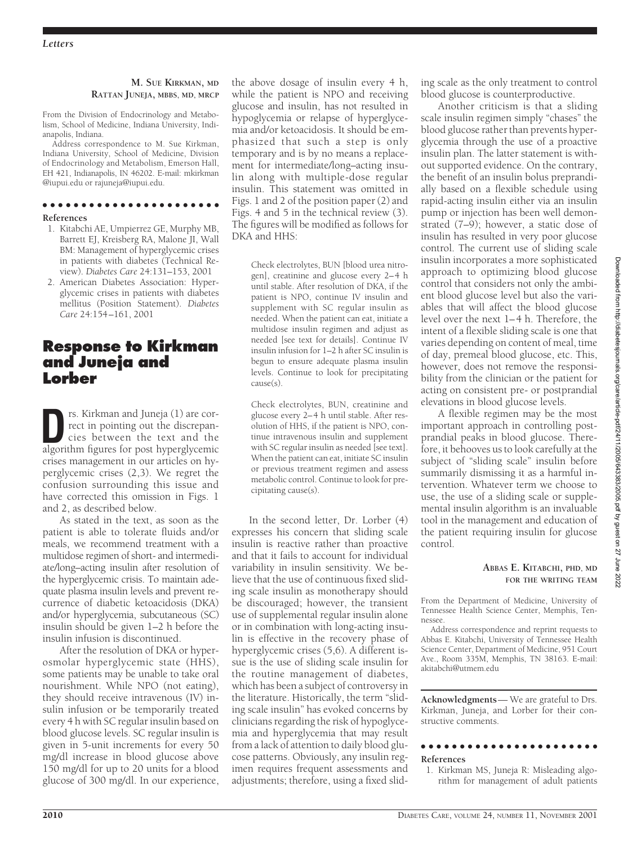#### **M. SUE KIRKMAN, MD RATTAN JUNEJA, MBBS, MD, MRCP**

From the Division of Endocrinology and Metabolism, School of Medicine, Indiana University, Indianapolis, Indiana.

Address correspondence to M. Sue Kirkman, Indiana University, School of Medicine, Division of Endocrinology and Metabolism, Emerson Hall, EH 421, Indianapolis, IN 46202. E-mail: mkirkman @iupui.edu or rajuneja@iupui.edu.

#### ●●●●●●●●●●●●●●●●●●●●●●●

#### **References**

- 1. Kitabchi AE, Umpierrez GE, Murphy MB, Barrett EJ, Kreisberg RA, Malone JI, Wall BM: Management of hyperglycemic crises in patients with diabetes (Technical Review). *Diabetes Care* 24:131–153, 2001
- 2. American Diabetes Association: Hyperglycemic crises in patients with diabetes mellitus (Position Statement). *Diabetes Care* 24:154–161, 2001

### **Response to Kirkman and Juneja and Lorber**

**D**rs. Kirkman and Juneja (1) are correct in pointing out the discrepancies between the text and the algorithm figures for nost hyperglycemic rect in pointing out the discrepancies between the text and the algorithm figures for post hyperglycemic crises management in our articles on hyperglycemic crises (2,3). We regret the confusion surrounding this issue and have corrected this omission in Figs. 1 and 2, as described below.

As stated in the text, as soon as the patient is able to tolerate fluids and/or meals, we recommend treatment with a multidose regimen of short- and intermediate/long–acting insulin after resolution of the hyperglycemic crisis. To maintain adequate plasma insulin levels and prevent recurrence of diabetic ketoacidosis (DKA) and/or hyperglycemia, subcutaneous (SC) insulin should be given 1–2 h before the insulin infusion is discontinued.

After the resolution of DKA or hyperosmolar hyperglycemic state (HHS), some patients may be unable to take oral nourishment. While NPO (not eating), they should receive intravenous (IV) insulin infusion or be temporarily treated every 4 h with SC regular insulin based on blood glucose levels. SC regular insulin is given in 5-unit increments for every 50 mg/dl increase in blood glucose above 150 mg/dl for up to 20 units for a blood glucose of 300 mg/dl. In our experience, the above dosage of insulin every 4 h, while the patient is NPO and receiving glucose and insulin, has not resulted in hypoglycemia or relapse of hyperglycemia and/or ketoacidosis. It should be emphasized that such a step is only temporary and is by no means a replacement for intermediate/long–acting insulin along with multiple-dose regular insulin. This statement was omitted in Figs. 1 and 2 of the position paper (2) and Figs. 4 and 5 in the technical review (3). The figures will be modified as follows for DKA and HHS:

> Check electrolytes, BUN [blood urea nitrogen], creatinine and glucose every 2–4 h until stable. After resolution of DKA, if the patient is NPO, continue IV insulin and supplement with SC regular insulin as needed. When the patient can eat, initiate a multidose insulin regimen and adjust as needed [see text for details]. Continue IV insulin infusion for 1–2 h after SC insulin is begun to ensure adequate plasma insulin levels. Continue to look for precipitating cause(s).

> Check electrolytes, BUN, creatinine and glucose every 2–4 h until stable. After resolution of HHS, if the patient is NPO, continue intravenous insulin and supplement with SC regular insulin as needed [see text]. When the patient can eat, initiate SC insulin or previous treatment regimen and assess metabolic control. Continue to look for precipitating cause(s).

In the second letter, Dr. Lorber (4) expresses his concern that sliding scale insulin is reactive rather than proactive and that it fails to account for individual variability in insulin sensitivity. We believe that the use of continuous fixed sliding scale insulin as monotherapy should be discouraged; however, the transient use of supplemental regular insulin alone or in combination with long-acting insulin is effective in the recovery phase of hyperglycemic crises (5,6). A different issue is the use of sliding scale insulin for the routine management of diabetes, which has been a subject of controversy in the literature. Historically, the term "sliding scale insulin" has evoked concerns by clinicians regarding the risk of hypoglycemia and hyperglycemia that may result from a lack of attention to daily blood glucose patterns. Obviously, any insulin regimen requires frequent assessments and adjustments; therefore, using a fixed sliding scale as the only treatment to control blood glucose is counterproductive.

Another criticism is that a sliding scale insulin regimen simply "chases" the blood glucose rather than prevents hyperglycemia through the use of a proactive insulin plan. The latter statement is without supported evidence. On the contrary, the benefit of an insulin bolus preprandially based on a flexible schedule using rapid-acting insulin either via an insulin pump or injection has been well demonstrated (7–9); however, a static dose of insulin has resulted in very poor glucose control. The current use of sliding scale insulin incorporates a more sophisticated approach to optimizing blood glucose control that considers not only the ambient blood glucose level but also the variables that will affect the blood glucose level over the next 1–4 h. Therefore, the intent of a flexible sliding scale is one that varies depending on content of meal, time of day, premeal blood glucose, etc. This, however, does not remove the responsibility from the clinician or the patient for acting on consistent pre- or postprandial elevations in blood glucose levels.

A flexible regimen may be the most important approach in controlling postprandial peaks in blood glucose. Therefore, it behooves us to look carefully at the subject of "sliding scale" insulin before summarily dismissing it as a harmful intervention. Whatever term we choose to use, the use of a sliding scale or supplemental insulin algorithm is an invaluable tool in the management and education of the patient requiring insulin for glucose control.

#### **ABBAS E. KITABCHI, PHD, MD FOR THE WRITING TEAM**

From the Department of Medicine, University of Tennessee Health Science Center, Memphis, Tennessee.

Address correspondence and reprint requests to Abbas E. Kitabchi, University of Tennessee Health Science Center, Department of Medicine, 951 Court Ave., Room 335M, Memphis, TN 38163. E-mail: akitabchi@utmem.edu

**Acknowledgments**— We are grateful to Drs. Kirkman, Juneja, and Lorber for their constructive comments.

#### ●●●●●●●●●●●●●●●●●●●●●●● **References**

1. Kirkman MS, Juneja R: Misleading algorithm for management of adult patients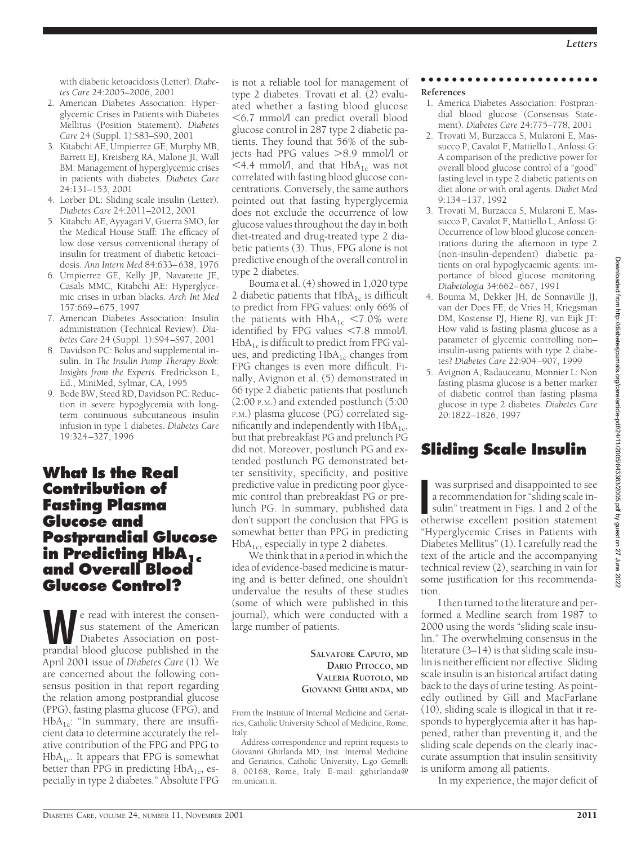with diabetic ketoacidosis (Letter). *Diabetes Care* 24:2005–2006, 2001

- 2. American Diabetes Association: Hyperglycemic Crises in Patients with Diabetes Mellitus (Position Statement). *Diabetes Care* 24 (Suppl. 1):S83–S90, 2001
- 3. Kitabchi AE, Umpierrez GE, Murphy MB, Barrett EJ, Kreisberg RA, Malone JI, Wall BM: Management of hyperglycemic crises in patients with diabetes. *Diabetes Care* 24:131–153, 2001
- 4. Lorber DL: Sliding scale insulin (Letter). *Diabetes Care* 24:2011–2012, 2001
- 5. Kitabchi AE, Ayyagari V, Guerra SMO, for the Medical House Staff: The efficacy of low dose versus conventional therapy of insulin for treatment of diabetic ketoacidosis. *Ann Intern Med* 84:633–638, 1976
- 6. Umpierrez GE, Kelly JP, Navarette JE, Casals MMC, Kitabchi AE: Hyperglycemic crises in urban blacks. *Arch Int Med* 157:669–675, 1997
- 7. American Diabetes Association: Insulin administration (Technical Review). *Diabetes Care* 24 (Suppl. 1):S94–S97, 2001
- 8. Davidson PC: Bolus and supplemental insulin. In *The Insulin Pump Therapy Book*: *Insights from the Experts*. Fredrickson L, Ed., MiniMed, Sylmar, CA, 1995
- 9. Bode BW, Steed RD, Davidson PC: Reduction in severe hypoglycemia with longterm continuous subcutaneous insulin infusion in type 1 diabetes. *Diabetes Care* 19:324–327, 1996

### **What Is the Real Contribution of Fasting Plasma Glucose and Postprandial Glucose** in Predicting HbA<sub>1c</sub> **and Overall Blood Glucose Control?**

**We read with interest the consensus statement of the American Diabetes Association on post-<br>
prandial blood glucose published in the** sus statement of the American prandial blood glucose published in the April 2001 issue of *Diabetes Care* (1). We are concerned about the following consensus position in that report regarding the relation among postprandial glucose (PPG), fasting plasma glucose (FPG), and  $HbA_{1c}$ : "In summary, there are insufficient data to determine accurately the relative contribution of the FPG and PPG to  $HbA_{1c}$ . It appears that FPG is somewhat better than PPG in predicting  $HbA_{1c}$ , especially in type 2 diabetes." Absolute FPG is not a reliable tool for management of type 2 diabetes. Trovati et al. (2) evaluated whether a fasting blood glucose 6.7 mmol/l can predict overall blood glucose control in 287 type 2 diabetic patients. They found that 56% of the subjects had PPG values  $>8.9$  mmol/l or  $<$ 4.4 mmol/l, and that HbA<sub>1c</sub> was not correlated with fasting blood glucose concentrations. Conversely, the same authors pointed out that fasting hyperglycemia does not exclude the occurrence of low glucose values throughout the day in both diet-treated and drug-treated type 2 diabetic patients (3). Thus, FPG alone is not predictive enough of the overall control in type 2 diabetes.

Bouma et al. (4) showed in 1,020 type 2 diabetic patients that  $HbA_{1c}$  is difficult to predict from FPG values: only 66% of the patients with  $HbA_{1c} < 7.0\%$  were identified by FPG values  $\leq 7.8$  mmol/l.  $HbA_{1c}$  is difficult to predict from FPG values, and predicting HbA<sub>1c</sub> changes from FPG changes is even more difficult. Finally, Avignon et al. (5) demonstrated in 66 type 2 diabetic patients that postlunch (2:00 P.M.) and extended postlunch (5:00 P.M.) plasma glucose (PG) correlated significantly and independently with  $HbA_{1c}$ , but that prebreakfast PG and prelunch PG did not. Moreover, postlunch PG and extended postlunch PG demonstrated better sensitivity, specificity, and positive predictive value in predicting poor glycemic control than prebreakfast PG or prelunch PG. In summary, published data don't support the conclusion that FPG is somewhat better than PPG in predicting  $HbA_{1c}$ , especially in type 2 diabetes.

We think that in a period in which the idea of evidence-based medicine is maturing and is better defined, one shouldn't undervalue the results of these studies (some of which were published in this journal), which were conducted with a large number of patients.

> **SALVATORE CAPUTO, MD DARIO PITOCCO, MD VALERIA RUOTOLO, MD GIOVANNI GHIRLANDA, MD**

From the Institute of Internal Medicine and Geriatrics, Catholic University School of Medicine, Rome, Italy.

Address correspondence and reprint requests to Giovanni Ghirlanda MD, Inst. Internal Medicine and Geriatrics, Catholic University, L.go Gemelli 8, 00168, Rome, Italy. E-mail: gghirlanda@ rm.unicatt.it.

#### ●●●●●●●●●●●●●●●●●●●●●●●

#### **References**

- 1. America Diabetes Association: Postprandial blood glucose (Consensus Statement). *Diabetes Care* 24:775–778, 2001
- 2. Trovati M, Burzacca S, Mularoni E, Massucco P, Cavalot F, Mattiello L, Anfossi G: A comparison of the predictive power for overall blood glucose control of a "good" fasting level in type 2 diabetic patients on diet alone or with oral agents. *Diabet Med* 9:134–137, 1992
- 3. Trovati M, Burzacca S, Mularoni E, Massucco P, Cavalot F, Mattiello L, Anfossi G: Occurrence of low blood glucose concentrations during the afternoon in type 2 (non-insulin-dependent) diabetic patients on oral hypoglycaemic agents: importance of blood glucose monitoring. *Diabetologia* 34:662–667, 1991
- 4. Bouma M, Dekker JH, de Sonnaville JJ, van der Does FE, de Vries H, Kriegsman DM, Kostense PJ, Hiene RJ, van Eijk JT: How valid is fasting plasma glucose as a parameter of glycemic controlling non– insulin-using patients with type 2 diabetes? *Diabetes Care* 22:904–907, 1999
- 5. Avignon A, Radauceanu, Monnier L: Non fasting plasma glucose is a better marker of diabetic control than fasting plasma glucose in type 2 diabetes. *Diabetes Care* 20:1822–1826, 1997

### **Sliding Scale Insulin**

was surprised and disappointed to see<br>
a recommendation for "sliding scale in-<br>
sulin" treatment in Figs. 1 and 2 of the<br>
otherwise excellent position statement was surprised and disappointed to see a recommendation for "sliding scale inotherwise excellent position statement "Hyperglycemic Crises in Patients with Diabetes Mellitus" (1). I carefully read the text of the article and the accompanying technical review (2), searching in vain for some justification for this recommendation.

I then turned to the literature and performed a Medline search from 1987 to 2000 using the words "sliding scale insulin." The overwhelming consensus in the literature (3–14) is that sliding scale insulin is neither efficient nor effective. Sliding scale insulin is an historical artifact dating back to the days of urine testing. As pointedly outlined by Gill and MacFarlane (10), sliding scale is illogical in that it responds to hyperglycemia after it has happened, rather than preventing it, and the sliding scale depends on the clearly inaccurate assumption that insulin sensitivity is uniform among all patients.

In my experience, the major deficit of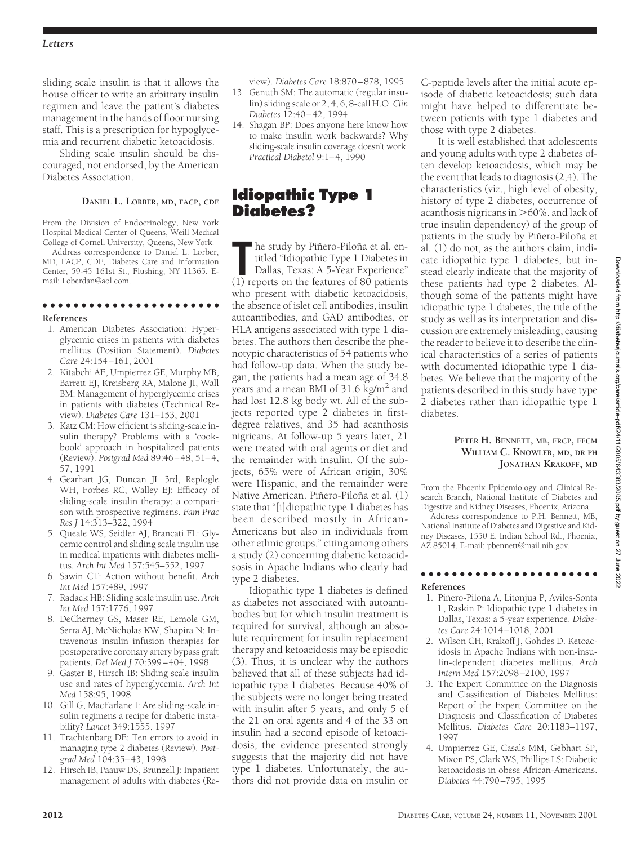sliding scale insulin is that it allows the house officer to write an arbitrary insulin regimen and leave the patient's diabetes management in the hands of floor nursing staff. This is a prescription for hypoglycemia and recurrent diabetic ketoacidosis.

Sliding scale insulin should be discouraged, not endorsed, by the American Diabetes Association.

#### **DANIEL L. LORBER, MD, FACP, CDE**

From the Division of Endocrinology, New York Hospital Medical Center of Queens, Weill Medical College of Cornell University, Queens, New York.

Address correspondence to Daniel L. Lorber, MD, FACP, CDE, Diabetes Care and Information Center, 59-45 161st St., Flushing, NY 11365. Email: Loberdan@aol.com.

#### ●●●●●●●●●●●●●●●●●●●●●●●

#### **References**

- 1. American Diabetes Association: Hyperglycemic crises in patients with diabetes mellitus (Position Statement). *Diabetes Care* 24:154–161, 2001
- 2. Kitabchi AE, Umpierrez GE, Murphy MB, Barrett EJ, Kreisberg RA, Malone JI, Wall BM: Management of hyperglycemic crises in patients with diabetes (Technical Review). *Diabetes Care* 131–153, 2001
- 3. Katz CM: How efficient is sliding-scale insulin therapy? Problems with a 'cookbook' approach in hospitalized patients (Review). *Postgrad Med* 89:46–48, 51–4, 57, 1991
- 4. Gearhart JG, Duncan JL 3rd, Replogle WH, Forbes RC, Walley EJ: Efficacy of sliding-scale insulin therapy: a comparison with prospective regimens. *Fam Prac Res J* 14:313–322, 1994
- 5. Queale WS, Seidler AJ, Brancati FL: Glycemic control and sliding scale insulin use in medical inpatients with diabetes mellitus. *Arch Int Med* 157:545–552, 1997
- 6. Sawin CT: Action without benefit. *Arch Int Med* 157:489, 1997
- 7. Radack HB: Sliding scale insulin use. *Arch Int Med* 157:1776, 1997
- 8. DeCherney GS, Maser RE, Lemole GM, Serra AJ, McNicholas KW, Shapira N: Intravenous insulin infusion therapies for postoperative coronary artery bypass graft patients. *Del Med J* 70:399–404, 1998
- 9. Gaster B, Hirsch IB: Sliding scale insulin use and rates of hyperglycemia. *Arch Int Med* 158:95, 1998
- 10. Gill G, MacFarlane I: Are sliding-scale insulin regimens a recipe for diabetic instability? *Lancet* 349:1555, 1997
- 11. Trachtenbarg DE: Ten errors to avoid in managing type 2 diabetes (Review). *Postgrad Med* 104:35–43, 1998
- 12. Hirsch IB, Paauw DS, Brunzell J: Inpatient management of adults with diabetes (Re-

view). *Diabetes Care* 18:870–878, 1995

- 13. Genuth SM: The automatic (regular insulin) sliding scale or 2, 4, 6, 8-call H.O. *Clin Diabetes* 12:40–42, 1994
- 14. Shagan BP: Does anyone here know how to make insulin work backwards? Why sliding-scale insulin coverage doesn't work. *Practical Diabetol* 9:1–4, 1990

### **Idiopathic Type 1 Diabetes?**

The study by Piñero-Piloña et al. entitled "Idiopathic Type 1 Diabetes in Dallas, Texas: A 5-Year Experience" (1) reports on the features of 80 patients he study by Piñero-Piloña et al. entitled "Idiopathic Type 1 Diabetes in Dallas, Texas: A 5-Year Experience" who present with diabetic ketoacidosis, the absence of islet cell antibodies, insulin autoantibodies, and GAD antibodies, or HLA antigens associated with type 1 diabetes. The authors then describe the phenotypic characteristics of 54 patients who had follow-up data. When the study began, the patients had a mean age of 34.8 years and a mean BMI of  $31.6 \text{ kg/m}^2$  and had lost 12.8 kg body wt. All of the subjects reported type 2 diabetes in firstdegree relatives, and 35 had acanthosis nigricans. At follow-up 5 years later, 21 were treated with oral agents or diet and the remainder with insulin. Of the subjects, 65% were of African origin, 30% were Hispanic, and the remainder were Native American. Piñero-Piloña et al. (1) state that "[i]diopathic type 1 diabetes has been described mostly in African-Americans but also in individuals from other ethnic groups," citing among others a study (2) concerning diabetic ketoacidsosis in Apache Indians who clearly had type 2 diabetes.

Idiopathic type 1 diabetes is defined as diabetes not associated with autoantibodies but for which insulin treatment is required for survival, although an absolute requirement for insulin replacement therapy and ketoacidosis may be episodic (3). Thus, it is unclear why the authors believed that all of these subjects had idiopathic type 1 diabetes. Because 40% of the subjects were no longer being treated with insulin after 5 years, and only 5 of the 21 on oral agents and 4 of the 33 on insulin had a second episode of ketoacidosis, the evidence presented strongly suggests that the majority did not have type 1 diabetes. Unfortunately, the authors did not provide data on insulin or

C-peptide levels after the initial acute episode of diabetic ketoacidosis; such data might have helped to differentiate between patients with type 1 diabetes and those with type 2 diabetes.

It is well established that adolescents and young adults with type 2 diabetes often develop ketoacidosis, which may be the event that leads to diagnosis (2,4). The characteristics (viz., high level of obesity, history of type 2 diabetes, occurrence of acanthosis nigricans in  $>60\%$ , and lack of true insulin dependency) of the group of patients in the study by Piñero-Piloña et al. (1) do not, as the authors claim, indicate idiopathic type 1 diabetes, but instead clearly indicate that the majority of these patients had type 2 diabetes. Although some of the patients might have idiopathic type 1 diabetes, the title of the study as well as its interpretation and discussion are extremely misleading, causing the reader to believe it to describe the clinical characteristics of a series of patients with documented idiopathic type 1 diabetes. We believe that the majority of the patients described in this study have type 2 diabetes rather than idiopathic type 1 diabetes.

#### **PETER H. BENNETT, MB, FRCP, FFCM WILLIAM C. KNOWLER, MD, DR PH JONATHAN KRAKOFF, MD**

From the Phoenix Epidemiology and Clinical Research Branch, National Institute of Diabetes and Digestive and Kidney Diseases, Phoenix, Arizona.

Address correspondence to P.H. Bennett, MB, National Institute of Diabetes and Digestive and Kidney Diseases, 1550 E. Indian School Rd., Phoenix, AZ 85014. E-mail: pbennett@mail.nih.gov.

#### ●●●●●●●●●●●●●●●●●●●●●●● **References**

- 1. Piñero-Piloña A, Litonjua P, Aviles-Sonta L, Raskin P: Idiopathic type 1 diabetes in Dallas, Texas: a 5-year experience. *Diabetes Care* 24:1014–1018, 2001
- 2. Wilson CH, Krakoff J, Gohdes D. Ketoacidosis in Apache Indians with non-insulin-dependent diabetes mellitus. *Arch Intern Med* 157:2098–2100, 1997
- 3. The Expert Committee on the Diagnosis and Classification of Diabetes Mellitus: Report of the Expert Committee on the Diagnosis and Classification of Diabetes Mellitus. *Diabetes Care* 20:1183–1197, 1997
- 4. Umpierrez GE, Casals MM, Gebhart SP, Mixon PS, Clark WS, Phillips LS: Diabetic ketoacidosis in obese African-Americans. *Diabetes* 44:790–795, 1995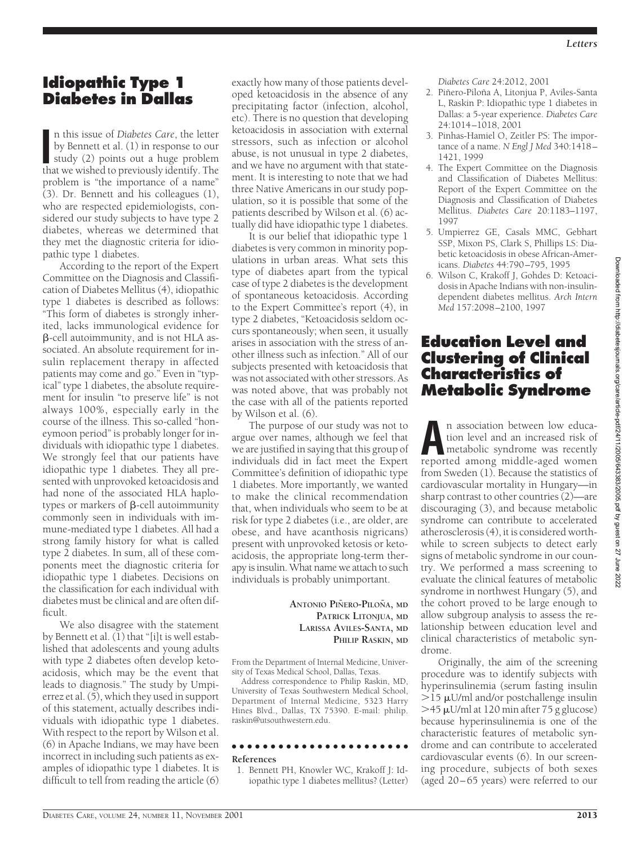### **Idiopathic Type 1 Diabetes in Dallas**

In this issue of *Diabetes Care*, the letter<br>by Bennett et al. (1) in response to our<br>study (2) points out a huge problem<br>that we wished to previously identify. The n this issue of *Diabetes Care*, the letter by Bennett et al. (1) in response to our that we wished to previously identify. The problem is "the importance of a name" (3). Dr. Bennett and his colleagues (1), who are respected epidemiologists, considered our study subjects to have type 2 diabetes, whereas we determined that they met the diagnostic criteria for idiopathic type 1 diabetes.

According to the report of the Expert Committee on the Diagnosis and Classification of Diabetes Mellitus (4), idiopathic type 1 diabetes is described as follows: "This form of diabetes is strongly inherited, lacks immunological evidence for -cell autoimmunity, and is not HLA associated. An absolute requirement for insulin replacement therapy in affected patients may come and go." Even in "typical" type 1 diabetes, the absolute requirement for insulin "to preserve life" is not always 100%, especially early in the course of the illness. This so-called "honeymoon period" is probably longer for individuals with idiopathic type 1 diabetes. We strongly feel that our patients have idiopathic type 1 diabetes. They all presented with unprovoked ketoacidosis and had none of the associated HLA haplotypes or markers of  $\beta$ -cell autoimmunity commonly seen in individuals with immune-mediated type 1 diabetes. All had a strong family history for what is called type 2 diabetes. In sum, all of these components meet the diagnostic criteria for idiopathic type 1 diabetes. Decisions on the classification for each individual with diabetes must be clinical and are often difficult.

We also disagree with the statement by Bennett et al. (1) that "[i]t is well established that adolescents and young adults with type 2 diabetes often develop ketoacidosis, which may be the event that leads to diagnosis." The study by Umpierrez et al. (5), which they used in support of this statement, actually describes individuals with idiopathic type 1 diabetes. With respect to the report by Wilson et al. (6) in Apache Indians, we may have been incorrect in including such patients as examples of idiopathic type 1 diabetes. It is difficult to tell from reading the article (6)

exactly how many of those patients developed ketoacidosis in the absence of any precipitating factor (infection, alcohol, etc). There is no question that developing ketoacidosis in association with external stressors, such as infection or alcohol abuse, is not unusual in type 2 diabetes, and we have no argument with that statement. It is interesting to note that we had three Native Americans in our study population, so it is possible that some of the patients described by Wilson et al. (6) actually did have idiopathic type 1 diabetes.

It is our belief that idiopathic type 1 diabetes is very common in minority populations in urban areas. What sets this type of diabetes apart from the typical case of type 2 diabetes is the development of spontaneous ketoacidosis. According to the Expert Committee's report (4), in type 2 diabetes, "Ketoacidosis seldom occurs spontaneously; when seen, it usually arises in association with the stress of another illness such as infection." All of our subjects presented with ketoacidosis that was not associated with other stressors. As was noted above, that was probably not the case with all of the patients reported by Wilson et al. (6).

The purpose of our study was not to argue over names, although we feel that we are justified in saying that this group of individuals did in fact meet the Expert Committee's definition of idiopathic type 1 diabetes. More importantly, we wanted to make the clinical recommendation that, when individuals who seem to be at risk for type 2 diabetes (i.e., are older, are obese, and have acanthosis nigricans) present with unprovoked ketosis or ketoacidosis, the appropriate long-term therapy is insulin. What name we attach to such individuals is probably unimportant.

> **ANTONIO PIN˜ ERO-PILON˜A, MD PATRICK LITONJUA, MD LARISSA AVILES-SANTA, MD PHILIP RASKIN, MD**

From the Department of Internal Medicine, University of Texas Medical School, Dallas, Texas.

Address correspondence to Philip Raskin, MD, University of Texas Southwestern Medical School, Department of Internal Medicine, 5323 Harry Hines Blvd., Dallas, TX 75390. E-mail: philip. raskin@utsouthwestern.edu.

#### ●●●●●●●●●●●●●●●●●●●●●●● **References**

1. Bennett PH, Knowler WC, Krakoff J: Idiopathic type 1 diabetes mellitus? (Letter) *Diabetes Care* 24:2012, 2001

- 2. Piñero-Piloña A, Litonjua P, Aviles-Santa L, Raskin P: Idiopathic type 1 diabetes in Dallas: a 5-year experience. *Diabetes Care* 24:1014–1018, 2001
- 3. Pinhas-Hamiel O, Zeitler PS: The importance of a name. *N Engl J Med* 340:1418– 1421, 1999
- 4. The Expert Committee on the Diagnosis and Classification of Diabetes Mellitus: Report of the Expert Committee on the Diagnosis and Classification of Diabetes Mellitus. *Diabetes Care* 20:1183–1197, 1997
- 5. Umpierrez GE, Casals MMC, Gebhart SSP, Mixon PS, Clark S, Phillips LS: Diabetic ketoacidosis in obese African-Americans. *Diabetes* 44:790–795, 1995
- 6. Wilson C, Krakoff J, Gohdes D: Ketoacidosis in Apache Indians with non-insulindependent diabetes mellitus. *Arch Intern Med* 157:2098–2100, 1997

### **Education Level and Clustering of Clinical Characteristics of Metabolic Syndrome**

**A**n association between low education level and an increased risk of metabolic syndrome was recently reported among middle-aged women tion level and an increased risk of reported among middle-aged women from Sweden (1). Because the statistics of cardiovascular mortality in Hungary—in sharp contrast to other countries (2)—are discouraging (3), and because metabolic syndrome can contribute to accelerated atherosclerosis (4), it is considered worthwhile to screen subjects to detect early signs of metabolic syndrome in our country. We performed a mass screening to evaluate the clinical features of metabolic syndrome in northwest Hungary (5), and the cohort proved to be large enough to allow subgroup analysis to assess the relationship between education level and clinical characteristics of metabolic syndrome.

Originally, the aim of the screening procedure was to identify subjects with hyperinsulinemia (serum fasting insulin  $>$ 15 µU/ml and/or postchallenge insulin  $>$ 45 µU/ml at 120 min after 75 g glucose) because hyperinsulinemia is one of the characteristic features of metabolic syndrome and can contribute to accelerated cardiovascular events (6). In our screening procedure, subjects of both sexes (aged 20–65 years) were referred to our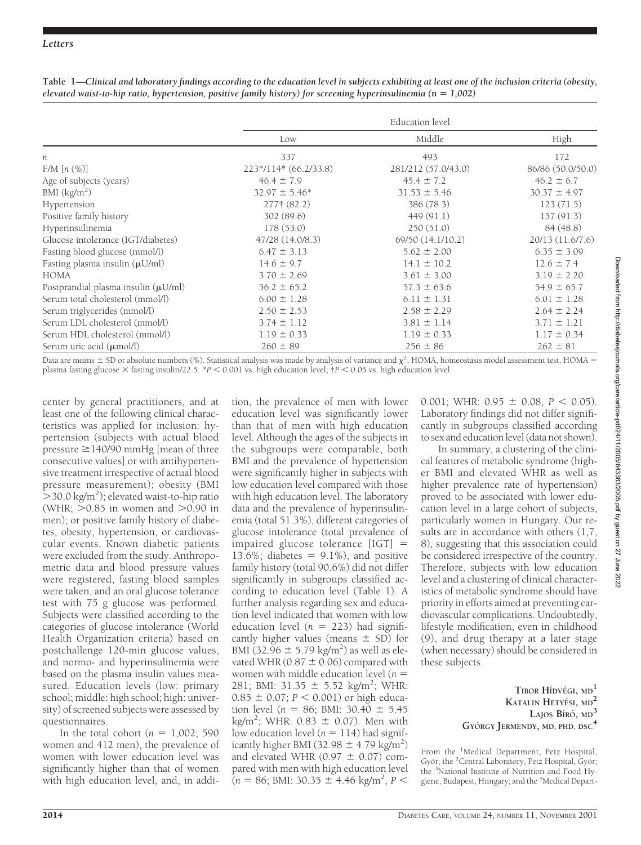|                                      | <b>Education</b> level |                     |                   |  |
|--------------------------------------|------------------------|---------------------|-------------------|--|
|                                      | Low                    | Middle              | High              |  |
| п                                    | 337                    | 493                 | 172               |  |
| $F/M [n (\%)]$                       | 223*/114* (66.2/33.8)  | 281/212 (57.0/43.0) | 86/86 (50.0/50.0) |  |
| Age of subjects (years)              | $46.4 \pm 7.9$         | $45.4 \pm 7.2$      | $46.2 \pm 6.7$    |  |
| BMI (kg/m <sup>2</sup> )             | $32.97 \pm 5.46^*$     | $31.53 \pm 5.46$    | $30.37 \pm 4.97$  |  |
| Hypertension                         | $277 \uparrow (82.2)$  | 386 (78.3)          | 123(71.5)         |  |
| Positive family history              | 302(89.6)              | 449(91.1)           | 157(91.3)         |  |
| Hyperinsulinemia                     | 178(53.0)              | 250(51.0)           | 84 (48.8)         |  |
| Glucose intolerance (IGT/diabetes)   | 47/28 (14.0/8.3)       | 69/50 (14.1/10.2)   | 20/13 (11.6/7.6)  |  |
| Fasting blood glucose (mmol/l)       | $6.47 \pm 3.13$        | $5.62 \pm 2.00$     | $6.35 \pm 3.09$   |  |
| Fasting plasma insulin $(\mu U/ml)$  | $14.6 \pm 9.7$         | $14.1 \pm 10.2$     | $12.6 \pm 7.4$    |  |
| HOMA                                 | $3.70 \pm 2.69$        | $3.61 \pm 3.00$     | $3.19 \pm 2.20$   |  |
| Postprandial plasma insulin (µU/ml)  | $56.2 \pm 65.2$        | $57.3 \pm 63.6$     | $54.9 \pm 65.7$   |  |
| Serum total cholesterol (mmol/l)     | $6.00 \pm 1.28$        | $6.11 \pm 1.31$     | $6.01 \pm 1.28$   |  |
| Serum triglycerides (mmol/l)         | $2.50 \pm 2.53$        | $2.58 \pm 2.29$     | $2.64 \pm 2.24$   |  |
| Serum LDL cholesterol (mmol/l)       | $3.74 \pm 1.12$        | $3.81 \pm 1.14$     | $3.71 \pm 1.21$   |  |
| Serum HDL cholesterol (mmol/l)       | $1.19 \pm 0.33$        | $1.19 \pm 0.33$     | $1.17 \pm 0.34$   |  |
| Serum uric acid $(\mu \text{mol/l})$ | $260 \pm 89$           | $256 \pm 86$        | $262 \pm 81$      |  |

**Table 1—***Clinical and laboratory findings according to the education level in subjects exhibiting at least one of the inclusion criteria (obesity, elevated waist-to-hip ratio, hypertension, positive family history) for screening hyperinsulinemia (***n** - *1,002)*

Data are means  $\pm$  SD or absolute numbers (%). Statistical analysis was made by analysis of variance and  $\chi^2$ . HOMA, homeostasis model assessment test. HOMA = plasma fasting glucose  $\times$  fasting insulin/22.5. \**P* < 0.001 vs. high education level;  $\dagger$ *P* < 0.05 vs. high education level.

center by general practitioners, and at least one of the following clinical characteristics was applied for inclusion: hypertension (subjects with actual blood pressure  $\geq$  140/90 mmHg [mean of three consecutive values] or with antihypertensive treatment irrespective of actual blood pressure measurement); obesity (BMI  $>$ 30.0 kg/m<sup>2</sup>); elevated waist-to-hip ratio (WHR;  $>0.85$  in women and  $>0.90$  in men); or positive family history of diabetes, obesity, hypertension, or cardiovascular events. Known diabetic patients were excluded from the study. Anthropometric data and blood pressure values were registered, fasting blood samples were taken, and an oral glucose tolerance test with 75 g glucose was performed. Subjects were classified according to the categories of glucose intolerance (World Health Organization criteria) based on postchallenge 120-min glucose values, and normo- and hyperinsulinemia were based on the plasma insulin values measured. Education levels (low: primary school; middle: high school; high: university) of screened subjects were assessed by questionnaires.

In the total cohort  $(n = 1,002; 590)$ women and 412 men), the prevalence of women with lower education level was significantly higher than that of women with high education level, and, in addi-

tion, the prevalence of men with lower education level was significantly lower than that of men with high education level. Although the ages of the subjects in the subgroups were comparable, both BMI and the prevalence of hypertension were significantly higher in subjects with low education level compared with those with high education level. The laboratory data and the prevalence of hyperinsulinemia (total 51.3%), different categories of glucose intolerance (total prevalence of impaired glucose tolerance  $[IGT] =$ 13.6%; diabetes  $= 9.1\%$ ), and positive family history (total 90.6%) did not differ significantly in subgroups classified according to education level (Table 1). A further analysis regarding sex and education level indicated that women with low education level  $(n = 223)$  had significantly higher values (means  $\pm$  SD) for BMI (32.96  $\pm$  5.79 kg/m<sup>2</sup>) as well as elevated WHR ( $0.87 \pm 0.06$ ) compared with women with middle education level (*n* = 281; BMI: 31.35  $\pm$  5.52 kg/m<sup>2</sup>; WHR:  $0.85 \pm 0.07$ ;  $P < 0.001$ ) or high education level ( $n = 86$ ; BMI:  $30.40 \pm 5.45$ kg/m<sup>2</sup>; WHR:  $0.83 \pm 0.07$ ). Men with low education level  $(n = 114)$  had significantly higher BMI (32.98  $\pm$  4.79 kg/m<sup>2</sup>) and elevated WHR (0.97  $\pm$  0.07) compared with men with high education level  $(n = 86; \text{ BMI: } 30.35 \pm 4.46 \text{ kg/m}^2, P$ 

0.001; WHR:  $0.95 \pm 0.08$ ,  $P < 0.05$ ). Laboratory findings did not differ significantly in subgroups classified according to sex and education level (data not shown).

In summary, a clustering of the clinical features of metabolic syndrome (higher BMI and elevated WHR as well as higher prevalence rate of hypertension) proved to be associated with lower education level in a large cohort of subjects, particularly women in Hungary. Our results are in accordance with others (1,7, 8), suggesting that this association could be considered irrespective of the country. Therefore, subjects with low education level and a clustering of clinical characteristics of metabolic syndrome should have priority in efforts aimed at preventing cardiovascular complications. Undoubtedly, lifestyle modification, even in childhood (9), and drug therapy at a later stage (when necessary) should be considered in these subjects.

> $\overline{\text{T}}$ **IBOR H**IDVEGI, MD<sup>1</sup> **KATALIN HETYÉSI**, MD<sup>2</sup>  $L$ AJOS **B**ÍRÓ, MD<sup>3</sup> **GYO´ RGY JERMENDY, MD, PHD, DSC<sup>4</sup>**

From the <sup>1</sup>Medical Department, Petz Hospital, Gyõr; the <sup>2</sup>Central Laboratory, Petz Hospital, Gyõr; the <sup>3</sup> National Institute of Nutrition and Food Hygiene, Budapest, Hungary; and the <sup>4</sup>Medical Depart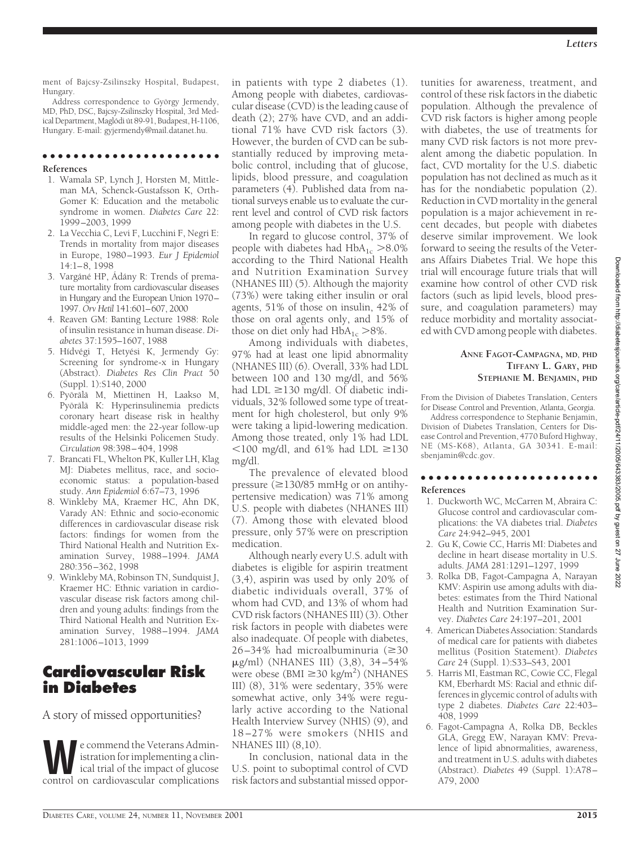ment of Bajcsy-Zsilinszky Hospital, Budapest, Hungary.

Address correspondence to György Jermendy, MD, PhD, DSC, Bajcsy-Zsilinszky Hospital, 3rd Medical Department, Maglódi út 89-91, Budapest, H-1106, Hungary. E-mail: gyjermendy@mail.datanet.hu.

#### ●●●●●●●●●●●●●●●●●●●●●●●

#### **References**

- 1. Wamala SP, Lynch J, Horsten M, Mittleman MA, Schenck-Gustafsson K, Orth-Gomer K: Education and the metabolic syndrome in women. *Diabetes Care* 22: 1999–2003, 1999
- 2. La Vecchia C, Levi F, Lucchini F, Negri E: Trends in mortality from major diseases in Europe, 1980–1993. *Eur J Epidemiol* 14:1–8, 1998
- 3. Vargáné HP, Ádány R: Trends of premature mortality from cardiovascular diseases in Hungary and the European Union 1970– 1997. *Orv Hetil* 141:601–607, 2000
- 4. Reaven GM: Banting Lecture 1988: Role of insulin resistance in human disease. *Diabetes* 37:1595–1607, 1988
- 5. Hídvégi T, Hetyési K, Jermendy Gy: Screening for syndrome-x in Hungary (Abstract). *Diabetes Res Clin Pract* 50 (Suppl. 1):S140, 2000
- 6. Pyörälä M, Miettinen H, Laakso M, Pyörälä K: Hyperinsulinemia predicts coronary heart disease risk in healthy middle-aged men: the 22-year follow-up results of the Helsinki Policemen Study. *Circulation* 98:398–404, 1998
- 7. Brancati FL, Whelton PK, Kuller LH, Klag MJ: Diabetes mellitus, race, and socioeconomic status: a population-based study. *Ann Epidemiol* 6:67–73, 1996
- 8. Winkleby MA, Kraemer HC, Ahn DK, Varady AN: Ethnic and socio-economic differences in cardiovascular disease risk factors: findings for women from the Third National Health and Nutrition Examination Survey, 1988–1994. *JAMA* 280:356–362, 1998
- 9. Winkleby MA, Robinson TN, Sundquist J, Kraemer HC: Ethnic variation in cardiovascular disease risk factors among children and young adults: findings from the Third National Health and Nutrition Examination Survey, 1988–1994. *JAMA* 281:1006–1013, 1999

### **Cardiovascular Risk in Diabetes**

A story of missed opportunities?

**WE commend the Veterans Administration for implementing a clinical trial of the impact of glucose**<br>
control on cardiovascular complications istration for implementing a clincontrol on cardiovascular complications in patients with type 2 diabetes (1). Among people with diabetes, cardiovascular disease (CVD) is the leading cause of death (2); 27% have CVD, and an additional 71% have CVD risk factors (3). However, the burden of CVD can be substantially reduced by improving metabolic control, including that of glucose, lipids, blood pressure, and coagulation parameters (4). Published data from national surveys enable us to evaluate the current level and control of CVD risk factors among people with diabetes in the U.S.

In regard to glucose control, 37% of people with diabetes had  $HbA_{1c} > 8.0\%$ according to the Third National Health and Nutrition Examination Survey (NHANES III) (5). Although the majority (73%) were taking either insulin or oral agents, 51% of those on insulin, 42% of those on oral agents only, and 15% of those on diet only had  $HbA_{1c} > 8\%$ .

Among individuals with diabetes, 97% had at least one lipid abnormality (NHANES III) (6). Overall, 33% had LDL between 100 and 130 mg/dl, and 56% had LDL  $\geq$ 130 mg/dl. Of diabetic individuals, 32% followed some type of treatment for high cholesterol, but only 9% were taking a lipid-lowering medication. Among those treated, only 1% had LDL  $100 \text{ mg/dl}$ , and 61% had LDL  $\geq 130$ mg/dl.

The prevalence of elevated blood pressure  $\approx 130/85$  mmHg or on antihypertensive medication) was 71% among U.S. people with diabetes (NHANES III) (7). Among those with elevated blood pressure, only 57% were on prescription medication.

Although nearly every U.S. adult with diabetes is eligible for aspirin treatment (3,4), aspirin was used by only 20% of diabetic individuals overall, 37% of whom had CVD, and 13% of whom had CVD risk factors (NHANES III) (3). Other risk factors in people with diabetes were also inadequate. Of people with diabetes, 26-34% had microalbuminuria ( $\geq 30$ g/ml) (NHANES III) (3,8), 34 –54% were obese (BMI  $\geq$ 30 kg/m<sup>2</sup>) (NHANES III) (8), 31% were sedentary, 35% were somewhat active, only 34% were regularly active according to the National Health Interview Survey (NHIS) (9), and 18 –27% were smokers (NHIS and NHANES III) (8,10).

In conclusion, national data in the U.S. point to suboptimal control of CVD risk factors and substantial missed opportunities for awareness, treatment, and control of these risk factors in the diabetic population. Although the prevalence of CVD risk factors is higher among people with diabetes, the use of treatments for many CVD risk factors is not more prevalent among the diabetic population. In fact, CVD mortality for the U.S. diabetic population has not declined as much as it has for the nondiabetic population (2). Reduction in CVD mortality in the general population is a major achievement in recent decades, but people with diabetes deserve similar improvement. We look forward to seeing the results of the Veterans Affairs Diabetes Trial. We hope this trial will encourage future trials that will examine how control of other CVD risk factors (such as lipid levels, blood pressure, and coagulation parameters) may reduce morbidity and mortality associated with CVD among people with diabetes.

#### **ANNE FAGOT-CAMPAGNA, MD, PHD TIFFANY L. GARY, PHD STEPHANIE M. BENJAMIN, PHD**

From the Division of Diabetes Translation, Centers for Disease Control and Prevention, Atlanta, Georgia.

Address correspondence to Stephanie Benjamin, Division of Diabetes Translation, Centers for Disease Control and Prevention, 4770 Buford Highway, NE (MS-K68), Atlanta, GA 30341. E-mail: sbenjamin@cdc.gov.

#### ●●●●●●●●●●●●●●●●●●●●●●●

#### **References**

- 1. Duckworth WC, McCarren M, Abraira C: Glucose control and cardiovascular complications: the VA diabetes trial. *Diabetes Care* 24:942–945, 2001
- 2. Gu K, Cowie CC, Harris MI: Diabetes and decline in heart disease mortality in U.S. adults. *JAMA* 281:1291–1297, 1999
- 3. Rolka DB, Fagot-Campagna A, Narayan KMV: Aspirin use among adults with diabetes: estimates from the Third National Health and Nutrition Examination Survey. *Diabetes Care* 24:197–201, 2001
- 4. American Diabetes Association: Standards of medical care for patients with diabetes mellitus (Position Statement). *Diabetes Care* 24 (Suppl. 1):S33–S43, 2001
- 5. Harris MI, Eastman RC, Cowie CC, Flegal KM, Eberhardt MS: Racial and ethnic differences in glycemic control of adults with type 2 diabetes. *Diabetes Care* 22:403– 408, 1999
- 6. Fagot-Campagna A, Rolka DB, Beckles GLA, Gregg EW, Narayan KMV: Prevalence of lipid abnormalities, awareness, and treatment in U.S. adults with diabetes (Abstract). *Diabetes* 49 (Suppl. 1):A78– A79, 2000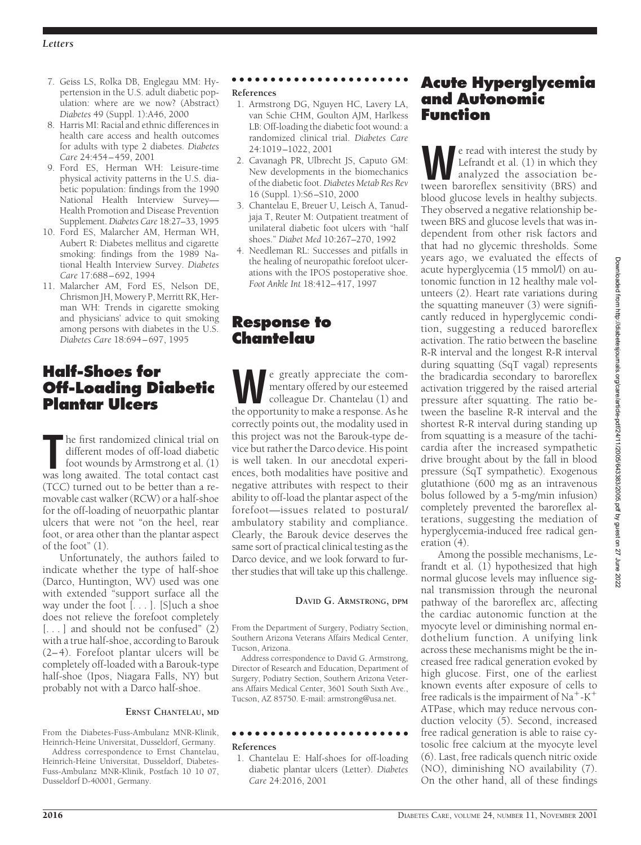- 7. Geiss LS, Rolka DB, Englegau MM: Hypertension in the U.S. adult diabetic population: where are we now? (Abstract) *Diabetes* 49 (Suppl. 1):A46, 2000
- 8. Harris MI: Racial and ethnic differences in health care access and health outcomes for adults with type 2 diabetes. *Diabetes Care* 24:454–459, 2001
- 9. Ford ES, Herman WH: Leisure-time physical activity patterns in the U.S. diabetic population: findings from the 1990 National Health Interview Survey— Health Promotion and Disease Prevention Supplement. *Diabetes Care* 18:27–33, 1995
- 10. Ford ES, Malarcher AM, Herman WH, Aubert R: Diabetes mellitus and cigarette smoking: findings from the 1989 National Health Interview Survey. *Diabetes Care* 17:688–692, 1994
- 11. Malarcher AM, Ford ES, Nelson DE, Chrismon JH, Mowery P, Merritt RK, Herman WH: Trends in cigarette smoking and physicians' advice to quit smoking among persons with diabetes in the U.S. *Diabetes Care* 18:694–697, 1995

### **Half-Shoes for Off-Loading Diabetic Plantar Ulcers**

**The first randomized clinical trial on different modes of off-load diabetic foot wounds by Armstrong et al. (1) was long awaited. The total contact cast** he first randomized clinical trial on different modes of off-load diabetic foot wounds by Armstrong et al. (1) (TCC) turned out to be better than a removable cast walker (RCW) or a half-shoe for the off-loading of neuorpathic plantar ulcers that were not "on the heel, rear foot, or area other than the plantar aspect of the foot" (1).

Unfortunately, the authors failed to indicate whether the type of half-shoe (Darco, Huntington, WV) used was one with extended "support surface all the way under the foot [. . . ]. [S]uch a shoe does not relieve the forefoot completely [...] and should not be confused" (2) with a true half-shoe, according to Barouk (2– 4). Forefoot plantar ulcers will be completely off-loaded with a Barouk-type half-shoe (Ipos, Niagara Falls, NY) but probably not with a Darco half-shoe.

#### **ERNST CHANTELAU, MD**

From the Diabetes-Fuss-Ambulanz MNR-Klinik, Heinrich-Heine Universitat, Dusseldorf, Germany.

Address correspondence to Ernst Chantelau, Heinrich-Heine Universitat, Dusseldorf, Diabetes-Fuss-Ambulanz MNR-Klinik, Postfach 10 10 07, Dusseldorf D-40001, Germany.

#### ●●●●●●●●●●●●●●●●●●●●●●●

#### **References**

- 1. Armstrong DG, Nguyen HC, Lavery LA, van Schie CHM, Goulton AJM, Harlkess LB: Off-loading the diabetic foot wound: a randomized clinical trial. *Diabetes Care* 24:1019–1022, 2001
- 2. Cavanagh PR, Ulbrecht JS, Caputo GM: New developments in the biomechanics of the diabetic foot.*Diabetes Metab Res Rev* 16 (Suppl. 1):S6–S10, 2000
- 3. Chantelau E, Breuer U, Leisch A, Tanudjaja T, Reuter M: Outpatient treatment of unilateral diabetic foot ulcers with "half shoes." *Diabet Med* 10:267–270, 1992
- 4. Needleman RL: Successes and pitfalls in the healing of neuropathic forefoot ulcerations with the IPOS postoperative shoe. *Foot Ankle Int* 18:412–417, 1997

### **Response to Chantelau**

e greatly appreciate the com-<br>mentary offered by our esteemed<br>colleague Dr. Chantelau (1) and<br>the opportunity to make a reconnected as he mentary offered by our esteemed colleague Dr. Chantelau (1) and the opportunity to make a response. As he correctly points out, the modality used in this project was not the Barouk-type device but rather the Darco device. His point is well taken. In our anecdotal experiences, both modalities have positive and negative attributes with respect to their ability to off-load the plantar aspect of the forefoot—issues related to postural/ ambulatory stability and compliance. Clearly, the Barouk device deserves the same sort of practical clinical testing as the Darco device, and we look forward to further studies that will take up this challenge.

#### **DAVID G. ARMSTRONG, DPM**

From the Department of Surgery, Podiatry Section, Southern Arizona Veterans Affairs Medical Center, Tucson, Arizona.

Address correspondence to David G. Armstrong, Director of Research and Education, Department of Surgery, Podiatry Section, Southern Arizona Veterans Affairs Medical Center, 3601 South Sixth Ave., Tucson, AZ 85750. E-mail: armstrong@usa.net.

#### ●●●●●●●●●●●●●●●●●●●●●●● **References**

1. Chantelau E: Half-shoes for off-loading diabetic plantar ulcers (Letter). *Diabetes Care* 24:2016, 2001

### **Acute Hyperglycemia and Autonomic Function**

e read with interest the study by Lefrandt et al. (1) in which they analyzed the association between baroreflex sensitivity (BRS) and blood glucose levels in healthy subjects. They observed a negative relationship between BRS and glucose levels that was independent from other risk factors and that had no glycemic thresholds. Some years ago, we evaluated the effects of acute hyperglycemia (15 mmol/l) on autonomic function in 12 healthy male volunteers (2). Heart rate variations during the squatting maneuver (3) were significantly reduced in hyperglycemic condition, suggesting a reduced baroreflex activation. The ratio between the baseline R-R interval and the longest R-R interval during squatting (SqT vagal) represents the bradicardia secondary to baroreflex activation triggered by the raised arterial pressure after squatting. The ratio between the baseline R-R interval and the shortest R-R interval during standing up from squatting is a measure of the tachicardia after the increased sympathetic drive brought about by the fall in blood pressure (SqT sympathetic). Exogenous glutathione (600 mg as an intravenous bolus followed by a 5-mg/min infusion) completely prevented the baroreflex alterations, suggesting the mediation of hyperglycemia-induced free radical generation (4).

Among the possible mechanisms, Lefrandt et al. (1) hypothesized that high normal glucose levels may influence signal transmission through the neuronal pathway of the baroreflex arc, affecting the cardiac autonomic function at the myocyte level or diminishing normal endothelium function. A unifying link across these mechanisms might be the increased free radical generation evoked by high glucose. First, one of the earliest known events after exposure of cells to free radicals is the impairment of Na<sup>+</sup>-K<sup>+</sup> ATPase, which may reduce nervous conduction velocity (5). Second, increased free radical generation is able to raise cytosolic free calcium at the myocyte level (6). Last, free radicals quench nitric oxide (NO), diminishing NO availability (7). On the other hand, all of these findings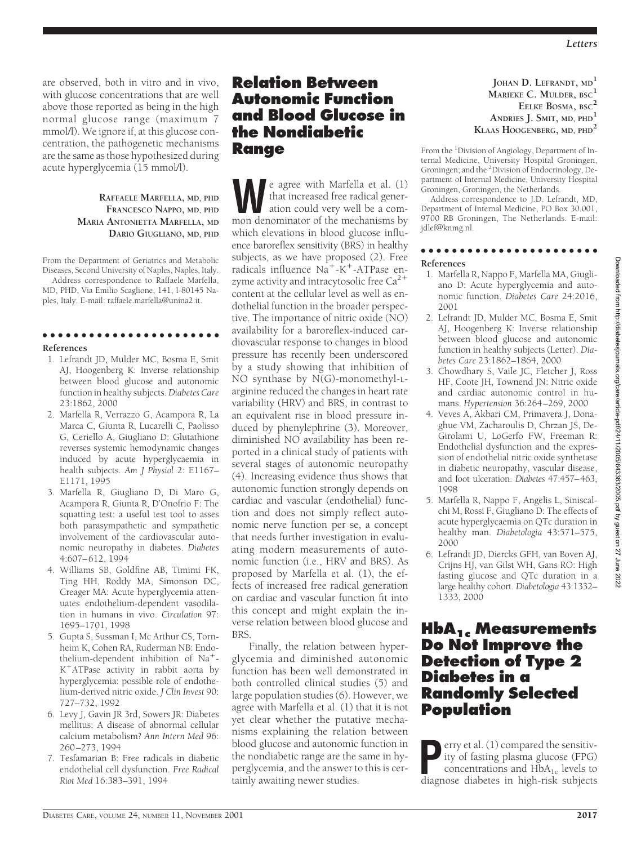are observed, both in vitro and in vivo, with glucose concentrations that are well above those reported as being in the high normal glucose range (maximum 7 mmol/l). We ignore if, at this glucose concentration, the pathogenetic mechanisms are the same as those hypothesized during acute hyperglycemia (15 mmol/l).

#### **RAFFAELE MARFELLA, MD, PHD FRANCESCO NAPPO, MD, PHD MARIA ANTONIETTA MARFELLA, MD DARIO GIUGLIANO, MD, PHD**

From the Department of Geriatrics and Metabolic Diseases, Second University of Naples, Naples, Italy. Address correspondence to Raffaele Marfella,

MD, PHD, Via Emilio Scaglione, 141, I-80145 Naples, Italy. E-mail: raffaele.marfella@unina2.it.

#### ●●●●●●●●●●●●●●●●●●●●●●●

- **References**
- 1. Lefrandt JD, Mulder MC, Bosma E, Smit AJ, Hoogenberg K: Inverse relationship between blood glucose and autonomic function in healthy subjects.*Diabetes Care* 23:1862, 2000
- 2. Marfella R, Verrazzo G, Acampora R, La Marca C, Giunta R, Lucarelli C, Paolisso G, Ceriello A, Giugliano D: Glutathione reverses systemic hemodynamic changes induced by acute hyperglycaemia in health subjects. *Am J Physiol* 2: E1167– E1171, 1995
- 3. Marfella R, Giugliano D, Di Maro G, Acampora R, Giunta R, D'Onofrio F: The squatting test: a useful test tool to asses both parasympathetic and sympathetic involvement of the cardiovascular autonomic neuropathy in diabetes. *Diabetes* 4:607–612, 1994
- 4. Williams SB, Goldfine AB, Timimi FK, Ting HH, Roddy MA, Simonson DC, Creager MA: Acute hyperglycemia attenuates endothelium-dependent vasodilation in humans in vivo. *Circulation* 97: 1695–1701, 1998
- 5. Gupta S, Sussman I, Mc Arthur CS, Tornheim K, Cohen RA, Ruderman NB: Endothelium-dependent inhibition of  $Na<sup>+</sup>$ - $K^+ATP$ ase activity in rabbit aorta by hyperglycemia: possible role of endothelium-derived nitric oxide. *J Clin Invest* 90: 727–732, 1992
- 6. Levy J, Gavin JR 3rd, Sowers JR: Diabetes mellitus: A disease of abnormal cellular calcium metabolism? *Ann Intern Med* 96: 260–273, 1994
- 7. Tesfamarian B: Free radicals in diabetic endothelial cell dysfunction. *Free Radical Riot Med* 16:383–391, 1994

### **Relation Between Autonomic Function and Blood Glucose in the Nondiabetic Range**

**W**e agree with Marfella et al. (1) that increased free radical generation could very well be a common denominator of the mechanisms by which elevations in blood glucose influence baroreflex sensitivity (BRS) in healthy subjects, as we have proposed (2). Free radicals influence  $Na^+$ - $K^+$ -ATPase enzyme activity and intracytosolic free  $Ca^{2+}$ content at the cellular level as well as endothelial function in the broader perspective. The importance of nitric oxide (NO) availability for a baroreflex-induced cardiovascular response to changes in blood pressure has recently been underscored by a study showing that inhibition of NO synthase by N(G)-monomethyl-Larginine reduced the changes in heart rate variability (HRV) and BRS, in contrast to an equivalent rise in blood pressure induced by phenylephrine (3). Moreover, diminished NO availability has been reported in a clinical study of patients with several stages of autonomic neuropathy (4). Increasing evidence thus shows that autonomic function strongly depends on cardiac and vascular (endothelial) function and does not simply reflect autonomic nerve function per se, a concept that needs further investigation in evaluating modern measurements of autonomic function (i.e., HRV and BRS). As proposed by Marfella et al. (1), the effects of increased free radical generation on cardiac and vascular function fit into this concept and might explain the inverse relation between blood glucose and BRS.

Finally, the relation between hyperglycemia and diminished autonomic function has been well demonstrated in both controlled clinical studies (5) and large population studies (6). However, we agree with Marfella et al. (1) that it is not yet clear whether the putative mechanisms explaining the relation between blood glucose and autonomic function in the nondiabetic range are the same in hyperglycemia, and the answer to this is certainly awaiting newer studies.

**JOHAN D. LEFRANDT, MD<sup>1</sup> MARIEKE C. MULDER, BSC<sup>1</sup> EELKE BOSMA, BSC2 ANDRIES J. SMIT, MD, PHD1 KLAAS HOOGENBERG, MD, PHD<sup>2</sup>**

From the <sup>1</sup>Division of Angiology, Department of Internal Medicine, University Hospital Groningen, Groningen; and the <sup>2</sup> Division of Endocrinology, Department of Internal Medicine, University Hospital Groningen, Groningen, the Netherlands.

Address correspondence to J.D. Lefrandt, MD, Department of Internal Medicine, PO Box 30.001, 9700 RB Groningen, The Netherlands. E-mail: jdlef@knmg.nl.

#### ●●●●●●●●●●●●●●●●●●●●●●●

#### **References**

- 1. Marfella R, Nappo F, Marfella MA, Giugliano D: Acute hyperglycemia and autonomic function. *Diabetes Care* 24:2016, 2001
- 2. Lefrandt JD, Mulder MC, Bosma E, Smit AJ, Hoogenberg K: Inverse relationship between blood glucose and autonomic function in healthy subjects (Letter). *Diabetes Care* 23:1862–1864, 2000
- 3. Chowdhary S, Vaile JC, Fletcher J, Ross HF, Coote JH, Townend JN: Nitric oxide and cardiac autonomic control in humans. *Hypertension* 36:264–269, 2000
- 4. Veves A, Akbari CM, Primavera J, Donaghue VM, Zacharoulis D, Chrzan JS, De-Girolami U, LoGerfo FW, Freeman R: Endothelial dysfunction and the expression of endothelial nitric oxide synthetase in diabetic neuropathy, vascular disease, and foot ulceration. *Diabetes* 47:457–463, 1998
- 5. Marfella R, Nappo F, Angelis L, Siniscalchi M, Rossi F, Giugliano D: The effects of acute hyperglycaemia on QTc duration in healthy man. *Diabetologia* 43:571–575, 2000
- 6. Lefrandt JD, Diercks GFH, van Boven AJ, Crijns HJ, van Gilst WH, Gans RO: High fasting glucose and QTc duration in a large healthy cohort. *Diabetologia* 43:1332– 1333, 2000

### **HbA1c Measurements Do Not Improve the Detection of Type 2 Diabetes in a Randomly Selected Population**

**P**erry et al. (1) compared the sensitivity of fasting plasma glucose (FPG) concentrations and  $HbA_{1c}$  levels to diagnose diabetes in high-risk subjects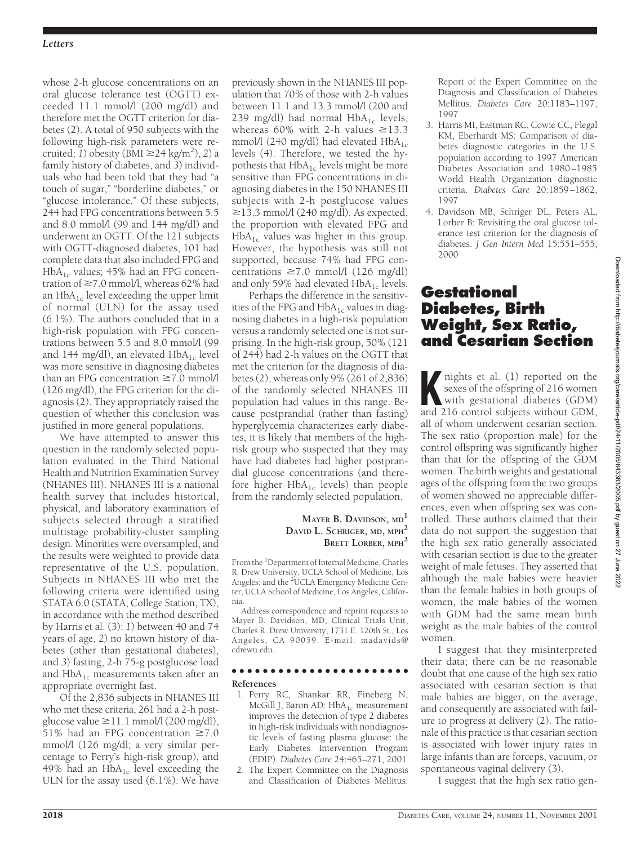whose 2-h glucose concentrations on an oral glucose tolerance test (OGTT) exceeded 11.1 mmol/l (200 mg/dl) and therefore met the OGTT criterion for diabetes (2). A total of 950 subjects with the following high-risk parameters were recruited:  $\tilde{l}$ ) obesity ( $\tilde{BM} \geq 24$  kg/m<sup>2</sup>), 2) a family history of diabetes, and *3*) individuals who had been told that they had "a touch of sugar," "borderline diabetes," or "glucose intolerance." Of these subjects, 244 had FPG concentrations between 5.5 and 8.0 mmol/l (99 and 144 mg/dl) and underwent an OGTT. Of the 121 subjects with OGTT-diagnosed diabetes, 101 had complete data that also included FPG and  $HbA_{1c}$  values; 45% had an FPG concentration of  $\geq 7.0$  mmol/l, whereas 62% had an  $HbA_{1c}$  level exceeding the upper limit of normal (ULN) for the assay used (6.1%). The authors concluded that in a high-risk population with FPG concentrations between 5.5 and 8.0 mmol/l (99 and 144 mg/dl), an elevated  $HbA_{1c}$  level was more sensitive in diagnosing diabetes than an FPG concentration  $\geq 7.0$  mmol/l (126 mg/dl), the FPG criterion for the diagnosis (2). They appropriately raised the question of whether this conclusion was justified in more general populations.

We have attempted to answer this question in the randomly selected population evaluated in the Third National Health and Nutrition Examination Survey (NHANES III). NHANES III is a national health survey that includes historical, physical, and laboratory examination of subjects selected through a stratified multistage probability-cluster sampling design. Minorities were oversampled, and the results were weighted to provide data representative of the U.S. population. Subjects in NHANES III who met the following criteria were identified using STATA 6.0 (STATA, College Station, TX), in accordance with the method described by Harris et al. (3): *1*) between 40 and 74 years of age, *2*) no known history of diabetes (other than gestational diabetes), and *3*) fasting, 2-h 75-g postglucose load and  $HbA_{1c}$  measurements taken after an appropriate overnight fast.

Of the 2,836 subjects in NHANES III who met these criteria, 261 had a 2-h postglucose value  $\geq$ 11.1 mmol/l (200 mg/dl), 51% had an FPG concentration  $\geq 7.0$ mmol/l (126 mg/dl; a very similar percentage to Perry's high-risk group), and 49% had an  $HbA_{1c}$  level exceeding the ULN for the assay used (6.1%). We have

previously shown in the NHANES III population that 70% of those with 2-h values between 11.1 and 13.3 mmol/l (200 and 239 mg/dl) had normal  $HbA_{1c}$  levels, whereas 60% with 2-h values  $\geq$ 13.3 mmol/l (240 mg/dl) had elevated  $HbA_{1c}$ levels (4). Therefore, we tested the hypothesis that  $HbA_{1c}$  levels might be more sensitive than FPG concentrations in diagnosing diabetes in the 150 NHANES III subjects with 2-h postglucose values  $\geq$ 13.3 mmol/l (240 mg/dl). As expected, the proportion with elevated FPG and  $HbA_{1c}$  values was higher in this group. However, the hypothesis was still not supported, because 74% had FPG concentrations  $\geq 7.0$  mmol/l (126 mg/dl) and only 59% had elevated  $HbA_{1c}$  levels.

Perhaps the difference in the sensitivities of the FPG and HbA<sub>1c</sub> values in diagnosing diabetes in a high-risk population versus a randomly selected one is not surprising. In the high-risk group, 50% (121 of 244) had 2-h values on the OGTT that met the criterion for the diagnosis of diabetes (2), whereas only 9% (261 of 2,836) of the randomly selected NHANES III population had values in this range. Because postprandial (rather than fasting) hyperglycemia characterizes early diabetes, it is likely that members of the highrisk group who suspected that they may have had diabetes had higher postprandial glucose concentrations (and therefore higher  $HbA_{1c}$  levels) than people from the randomly selected population.

#### **MAYER B. DAVIDSON, MD<sup>1</sup> DAVID L. SCHRIGER, MD, MPH<sup>2</sup> BRETT LORBER, MPH<sup>2</sup>**

From the <sup>1</sup>Department of Internal Medicine, Charles R. Drew University, UCLA School of Medicine, Los Angeles; and the <sup>2</sup>UCLA Emergency Medicine Center, UCLA School of Medicine, Los Angeles, California.

Address correspondence and reprint requests to Mayer B. Davidson, MD, Clinical Trials Unit, Charles R. Drew University, 1731 E. 120th St., Los Angeles, CA 90059. E-mail: madavids@ cdrewu.edu.

#### ●●●●●●●●●●●●●●●●●●●●●●● **References**

- 1. Perry RC, Shankar RR, Fineberg N, McGill J, Baron AD:  $HbA_{1c}$  measurement improves the detection of type 2 diabetes in high-risk individuals with nondiagnostic levels of fasting plasma glucose: the Early Diabetes Intervention Program (EDIP). *Diabetes Care* 24:465–271, 2001
- 2. The Expert Committee on the Diagnosis and Classification of Diabetes Mellitus:

Report of the Expert Committee on the Diagnosis and Classification of Diabetes Mellitus. *Diabetes Care* 20:1183–1197, 1997

- 3. Harris MI, Eastman RC, Cowie CC, Flegal KM, Eberhardt MS: Comparison of diabetes diagnostic categories in the U.S. population according to 1997 American Diabetes Association and 1980 –1985 World Health Organization diagnostic criteria. *Diabetes Care* 20:1859–1862, 1997
- 4. Davidson MB, Schriger DL, Peters AL, Lorber B: Revisiting the oral glucose tolerance test criterion for the diagnosis of diabetes. *J Gen Intern Med* 15:551–555, 2000

### **Gestational Diabetes, Birth Weight, Sex Ratio, and Cesarian Section**

**K**nights et al. (1) reported on the sexes of the offspring of 216 women with gestational diabetes (GDM) and 216 control subjects without GDM, all of whom underwent cesarian section. The sex ratio (proportion male) for the control offspring was significantly higher than that for the offspring of the GDM women. The birth weights and gestational ages of the offspring from the two groups of women showed no appreciable differences, even when offspring sex was controlled. These authors claimed that their data do not support the suggestion that the high sex ratio generally associated with cesarian section is due to the greater weight of male fetuses. They asserted that although the male babies were heavier than the female babies in both groups of women, the male babies of the women with GDM had the same mean birth weight as the male babies of the control women.

I suggest that they misinterpreted their data; there can be no reasonable doubt that one cause of the high sex ratio associated with cesarian section is that male babies are bigger, on the average, and consequently are associated with failure to progress at delivery (2). The rationale of this practice is that cesarian section is associated with lower injury rates in large infants than are forceps, vacuum, or spontaneous vaginal delivery (3).

I suggest that the high sex ratio gen-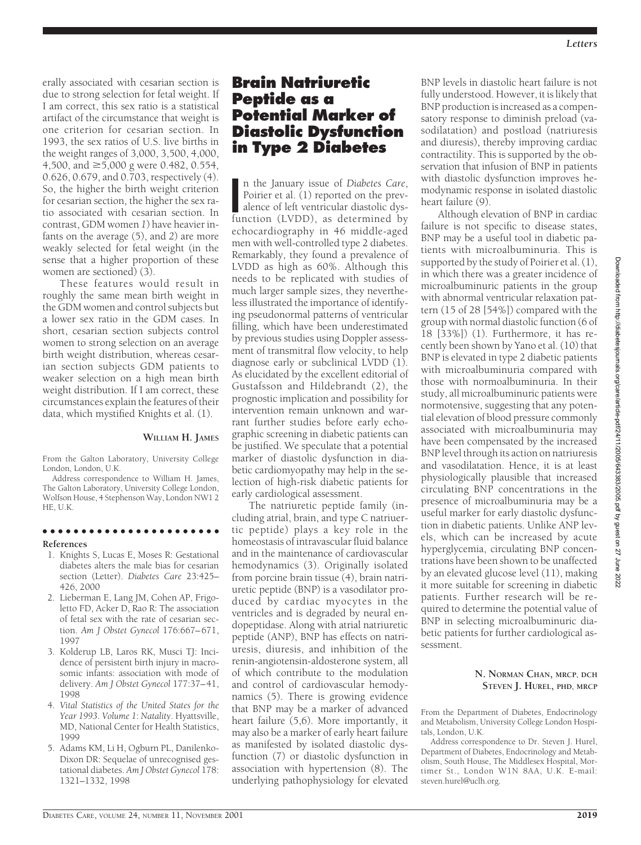erally associated with cesarian section is due to strong selection for fetal weight. If I am correct, this sex ratio is a statistical artifact of the circumstance that weight is one criterion for cesarian section. In 1993, the sex ratios of U.S. live births in the weight ranges of 3,000, 3,500, 4,000, 4,500, and  $\geq$ 5,000 g were 0.482, 0.554, 0.626, 0.679, and 0.703, respectively (4). So, the higher the birth weight criterion for cesarian section, the higher the sex ratio associated with cesarian section. In contrast, GDM women *1*) have heavier infants on the average (5), and *2*) are more weakly selected for fetal weight (in the sense that a higher proportion of these women are sectioned) (3).

These features would result in roughly the same mean birth weight in the GDM women and control subjects but a lower sex ratio in the GDM cases. In short, cesarian section subjects control women to strong selection on an average birth weight distribution, whereas cesarian section subjects GDM patients to weaker selection on a high mean birth weight distribution. If I am correct, these circumstances explain the features of their data, which mystified Knights et al. (1).

#### **WILLIAM H. JAMES**

From the Galton Laboratory, University College London, London, U.K.

Address correspondence to William H. James, The Galton Laboratory, University College London, Wolfson House, 4 Stephenson Way, London NW1 2 HE, U.K.

#### ●●●●●●●●●●●●●●●●●●●●●●●

#### **References**

- 1. Knights S, Lucas E, Moses R: Gestational diabetes alters the male bias for cesarian section (Letter). *Diabetes Care* 23:425– 426, 2000
- 2. Lieberman E, Lang JM, Cohen AP, Frigoletto FD, Acker D, Rao R: The association of fetal sex with the rate of cesarian section. *Am J Obstet Gynecol* 176:667–671, 1997
- 3. Kolderup LB, Laros RK, Musci TJ: Incidence of persistent birth injury in macrosomic infants: association with mode of delivery. *Am J Obstet Gynecol* 177:37–41, 1998
- 4. *Vital Statistics of the United States for the Year 1993*. *Volume 1*: *Natality*. Hyattsville, MD, National Center for Health Statistics, 1999
- 5. Adams KM, Li H, Ogburn PL, Danilenko-Dixon DR: Sequelae of unrecognised gestational diabetes. *Am J Obstet Gynecol* 178: 1321–1332, 1998

### **Brain Natriuretic Peptide as a Potential Marker of Diastolic Dysfunction in Type 2 Diabetes**

In the January issue of *Diabetes Care*, Poirier et al. (1) reported on the prevalence of left ventricular diastolic dysfunction (LVDD), as determined by n the January issue of *Diabetes Care*, Poirier et al. (1) reported on the prevalence of left ventricular diastolic dysechocardiography in 46 middle-aged men with well-controlled type 2 diabetes. Remarkably, they found a prevalence of LVDD as high as 60%. Although this needs to be replicated with studies of much larger sample sizes, they nevertheless illustrated the importance of identifying pseudonormal patterns of ventricular filling, which have been underestimated by previous studies using Doppler assessment of transmitral flow velocity, to help diagnose early or subclinical LVDD (1). As elucidated by the excellent editorial of Gustafsson and Hildebrandt (2), the prognostic implication and possibility for intervention remain unknown and warrant further studies before early echographic screening in diabetic patients can be justified. We speculate that a potential marker of diastolic dysfunction in diabetic cardiomyopathy may help in the selection of high-risk diabetic patients for early cardiological assessment.

The natriuretic peptide family (including atrial, brain, and type C natriuertic peptide) plays a key role in the homeostasis of intravascular fluid balance and in the maintenance of cardiovascular hemodynamics (3). Originally isolated from porcine brain tissue (4), brain natriuretic peptide (BNP) is a vasodilator produced by cardiac myocytes in the ventricles and is degraded by neural endopeptidase. Along with atrial natriuretic peptide (ANP), BNP has effects on natriuresis, diuresis, and inhibition of the renin-angiotensin-aldosterone system, all of which contribute to the modulation and control of cardiovascular hemodynamics (5). There is growing evidence that BNP may be a marker of advanced heart failure (5,6). More importantly, it may also be a marker of early heart failure as manifested by isolated diastolic dysfunction (7) or diastolic dysfunction in association with hypertension (8). The underlying pathophysiology for elevated

BNP levels in diastolic heart failure is not fully understood. However, it is likely that BNP production is increased as a compensatory response to diminish preload (vasodilatation) and postload (natriuresis and diuresis), thereby improving cardiac contractility. This is supported by the observation that infusion of BNP in patients with diastolic dysfunction improves hemodynamic response in isolated diastolic heart failure (9).

Although elevation of BNP in cardiac failure is not specific to disease states, BNP may be a useful tool in diabetic patients with microalbuminuria. This is supported by the study of Poirier et al. (1), in which there was a greater incidence of microalbuminuric patients in the group with abnormal ventricular relaxation pattern (15 of 28 [54%]) compared with the group with normal diastolic function (6 of 18 [33%]) (1). Furthermore, it has recently been shown by Yano et al. (10) that BNP is elevated in type 2 diabetic patients with microalbuminuria compared with those with normoalbuminuria. In their study, all microalbuminuric patients were normotensive, suggesting that any potential elevation of blood pressure commonly associated with microalbuminuria may have been compensated by the increased BNP level through its action on natriuresis and vasodilatation. Hence, it is at least physiologically plausible that increased circulating BNP concentrations in the presence of microalbuminuria may be a useful marker for early diastolic dysfunction in diabetic patients. Unlike ANP levels, which can be increased by acute hyperglycemia, circulating BNP concentrations have been shown to be unaffected by an elevated glucose level (11), making it more suitable for screening in diabetic patients. Further research will be required to determine the potential value of BNP in selecting microalbuminuric diabetic patients for further cardiological assessment.

#### **N. NORMAN CHAN, MRCP, DCH STEVEN J. HUREL, PHD, MRCP**

From the Department of Diabetes, Endocrinology and Metabolism, University College London Hospitals, London, U.K.

Address correspondence to Dr. Steven J. Hurel, Department of Diabetes, Endocrinology and Metabolism, South House, The Middlesex Hospital, Mortimer St., London W1N 8AA, U.K. E-mail: steven.hurel@uclh.org.